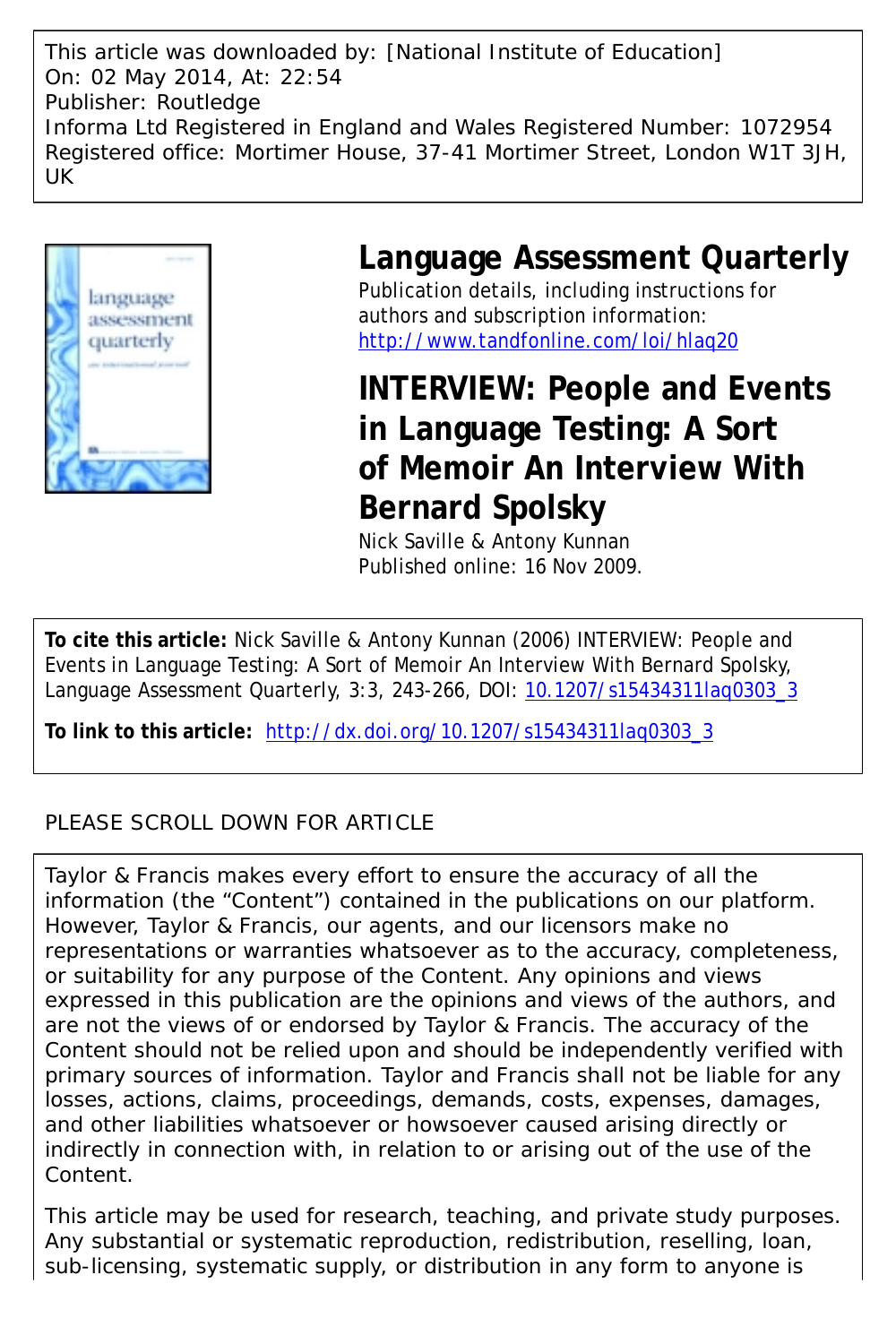This article was downloaded by: [National Institute of Education] On: 02 May 2014, At: 22:54 Publisher: Routledge Informa Ltd Registered in England and Wales Registered Number: 1072954 Registered office: Mortimer House, 37-41 Mortimer Street, London W1T 3JH, UK



## **Language Assessment Quarterly**

Publication details, including instructions for authors and subscription information: <http://www.tandfonline.com/loi/hlaq20>

# **INTERVIEW: People and Events in Language Testing: A Sort of Memoir An Interview With Bernard Spolsky**

Nick Saville & Antony Kunnan Published online: 16 Nov 2009.

**To cite this article:** Nick Saville & Antony Kunnan (2006) INTERVIEW: People and Events in Language Testing: A Sort of Memoir An Interview With Bernard Spolsky, Language Assessment Quarterly, 3:3, 243-266, DOI: [10.1207/s15434311laq0303\\_3](http://www.tandfonline.com/action/showCitFormats?doi=10.1207/s15434311laq0303_3)

**To link to this article:** [http://dx.doi.org/10.1207/s15434311laq0303\\_3](http://dx.doi.org/10.1207/s15434311laq0303_3)

## PLEASE SCROLL DOWN FOR ARTICLE

Taylor & Francis makes every effort to ensure the accuracy of all the information (the "Content") contained in the publications on our platform. However, Taylor & Francis, our agents, and our licensors make no representations or warranties whatsoever as to the accuracy, completeness, or suitability for any purpose of the Content. Any opinions and views expressed in this publication are the opinions and views of the authors, and are not the views of or endorsed by Taylor & Francis. The accuracy of the Content should not be relied upon and should be independently verified with primary sources of information. Taylor and Francis shall not be liable for any losses, actions, claims, proceedings, demands, costs, expenses, damages, and other liabilities whatsoever or howsoever caused arising directly or indirectly in connection with, in relation to or arising out of the use of the Content.

This article may be used for research, teaching, and private study purposes. Any substantial or systematic reproduction, redistribution, reselling, loan, sub-licensing, systematic supply, or distribution in any form to anyone is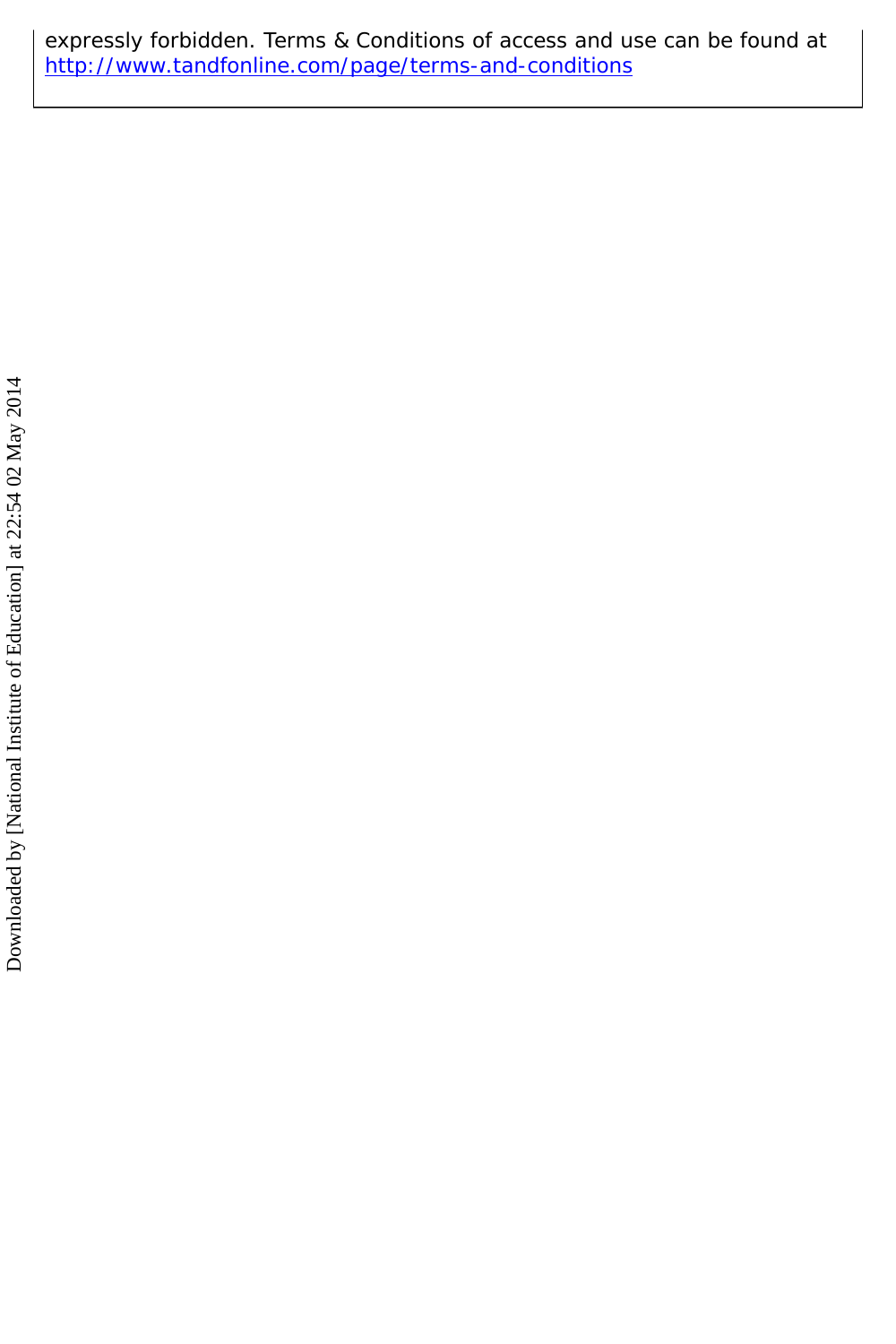expressly forbidden. Terms & Conditions of access and use can be found at <http://www.tandfonline.com/page/terms-and-conditions>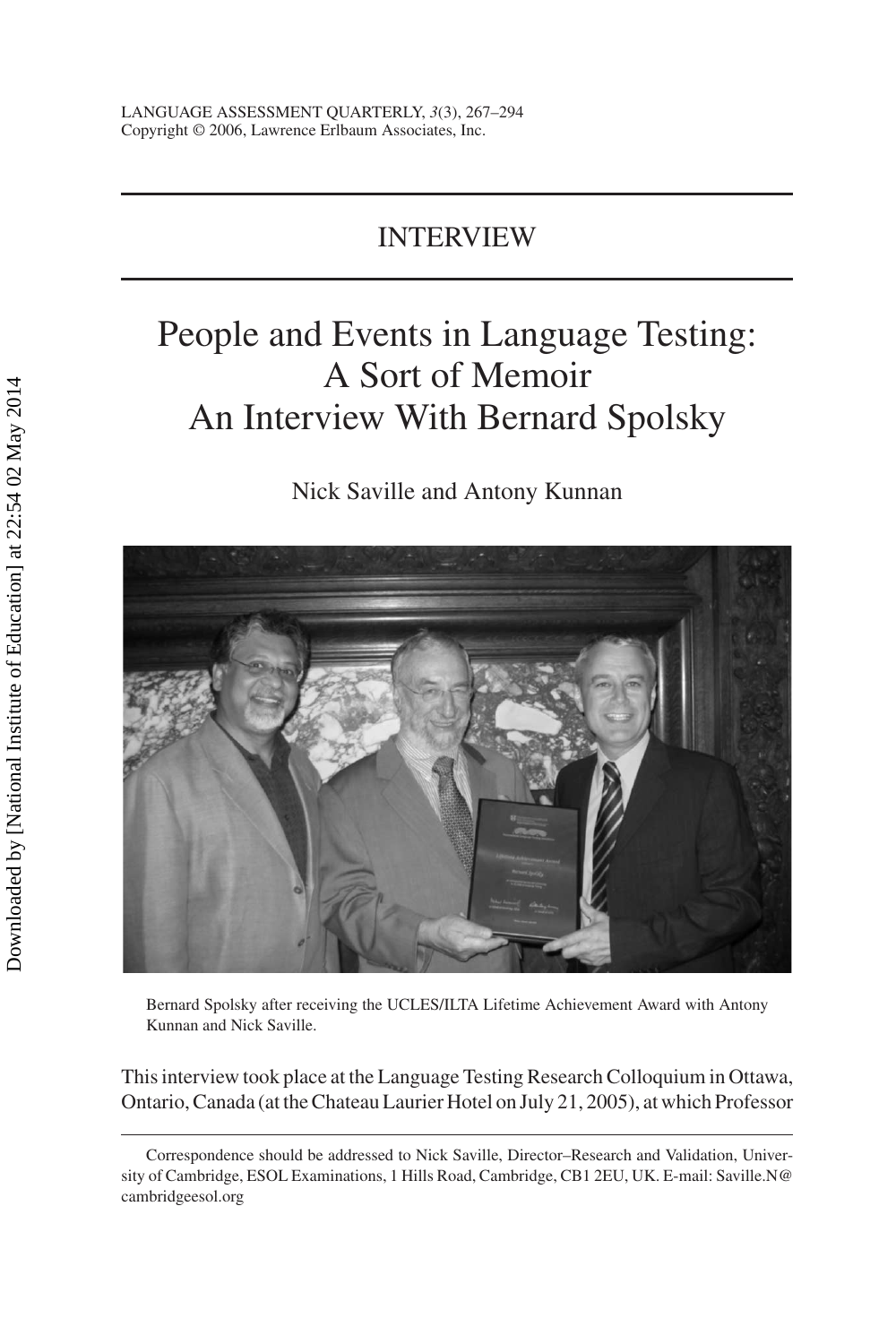## INTERVIEW

# People and Events in Language Testing: A Sort of Memoir An Interview With Bernard Spolsky

## Nick Saville and Antony Kunnan



Bernard Spolsky after receiving the UCLES/ILTA Lifetime Achievement Award with Antony Kunnan and Nick Saville.

This interview took place at the Language Testing Research Colloquium in Ottawa, Ontario, Canada (at the Chateau Laurier Hotel on July 21, 2005), at which Professor

Correspondence should be addressed to Nick Saville, Director–Research and Validation, University of Cambridge, ESOL Examinations, 1 Hills Road, Cambridge, CB1 2EU, UK. E-mail: Saville.N@ cambridgeesol.org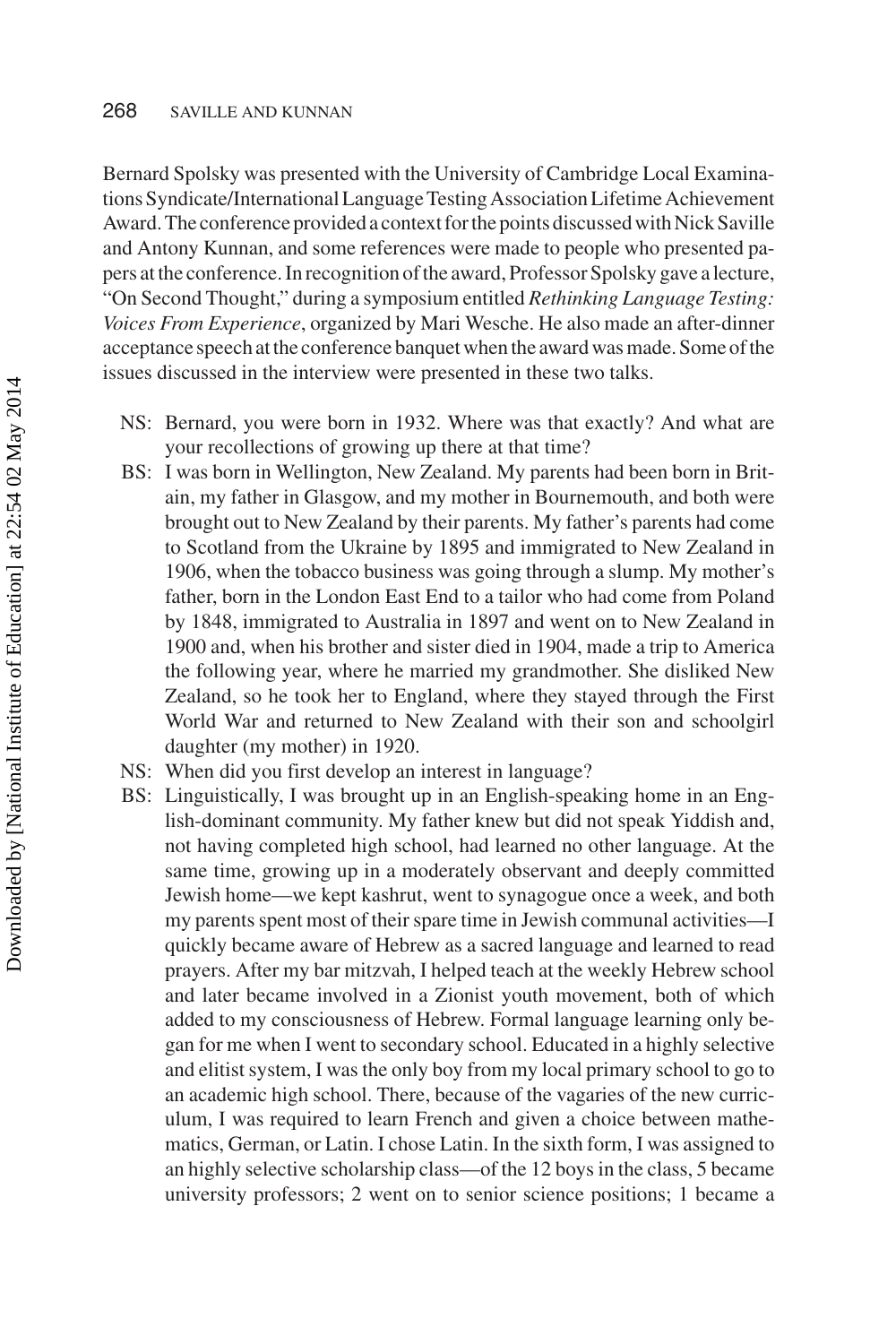Bernard Spolsky was presented with the University of Cambridge Local Examinations Syndicate/International Language Testing Association Lifetime Achievement Award. The conference provided a context for the points discussed with Nick Saville and Antony Kunnan, and some references were made to people who presented papers at the conference. In recognition of the award, Professor Spolsky gave a lecture, "On Second Thought," during a symposium entitled *Rethinking Language Testing: Voices From Experience*, organized by Mari Wesche. He also made an after-dinner acceptance speech at the conference banquet when the award was made. Some of the issues discussed in the interview were presented in these two talks.

- NS: Bernard, you were born in 1932. Where was that exactly? And what are your recollections of growing up there at that time?
- BS: I was born in Wellington, New Zealand. My parents had been born in Britain, my father in Glasgow, and my mother in Bournemouth, and both were brought out to New Zealand by their parents. My father's parents had come to Scotland from the Ukraine by 1895 and immigrated to New Zealand in 1906, when the tobacco business was going through a slump. My mother's father, born in the London East End to a tailor who had come from Poland by 1848, immigrated to Australia in 1897 and went on to New Zealand in 1900 and, when his brother and sister died in 1904, made a trip to America the following year, where he married my grandmother. She disliked New Zealand, so he took her to England, where they stayed through the First World War and returned to New Zealand with their son and schoolgirl daughter (my mother) in 1920.
- NS: When did you first develop an interest in language?
- BS: Linguistically, I was brought up in an English-speaking home in an English-dominant community. My father knew but did not speak Yiddish and, not having completed high school, had learned no other language. At the same time, growing up in a moderately observant and deeply committed Jewish home—we kept kashrut, went to synagogue once a week, and both my parents spent most of their spare time in Jewish communal activities—I quickly became aware of Hebrew as a sacred language and learned to read prayers. After my bar mitzvah, I helped teach at the weekly Hebrew school and later became involved in a Zionist youth movement, both of which added to my consciousness of Hebrew. Formal language learning only began for me when I went to secondary school. Educated in a highly selective and elitist system, I was the only boy from my local primary school to go to an academic high school. There, because of the vagaries of the new curriculum, I was required to learn French and given a choice between mathematics, German, or Latin. I chose Latin. In the sixth form, I was assigned to an highly selective scholarship class—of the 12 boys in the class, 5 became university professors; 2 went on to senior science positions; 1 became a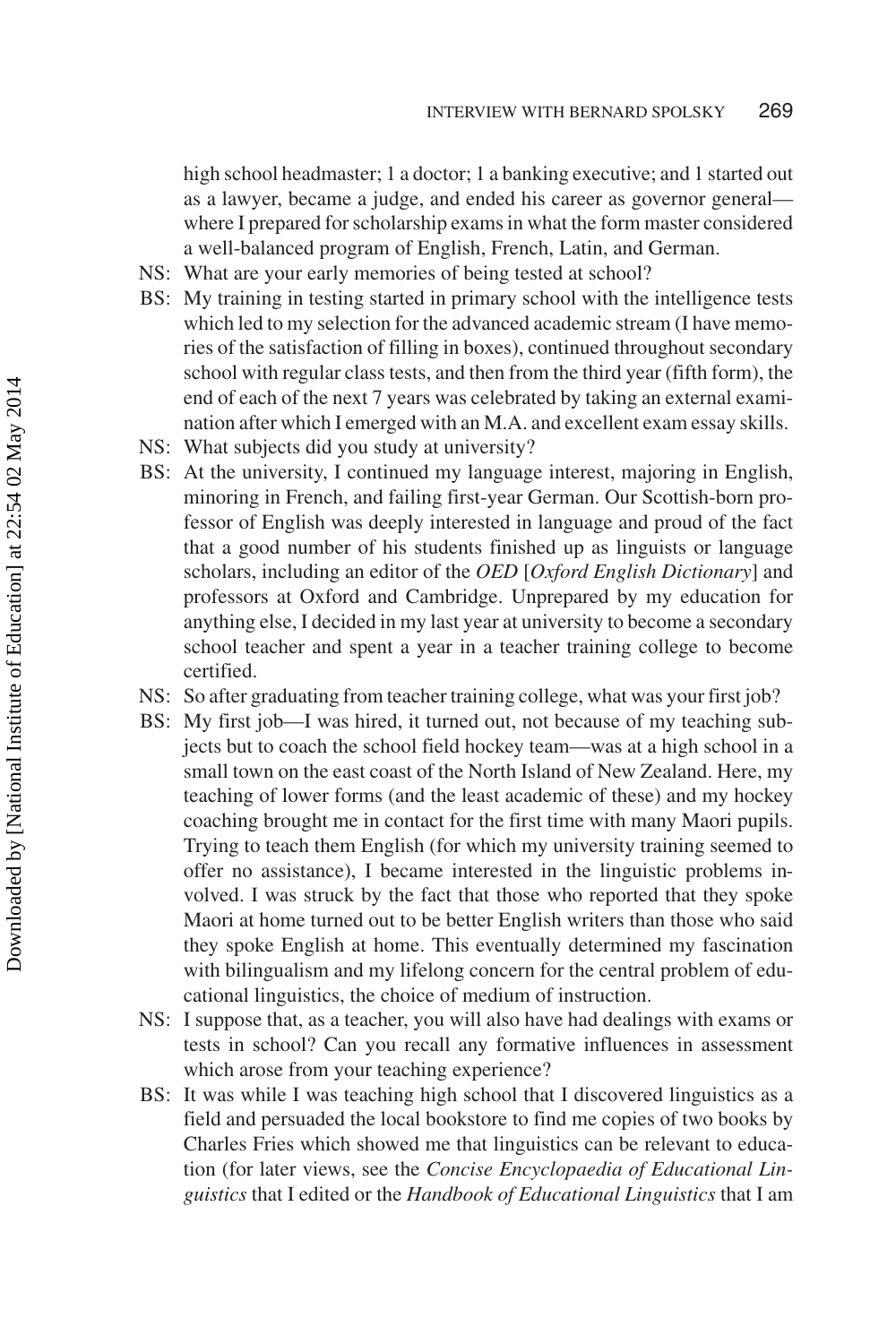high school headmaster; 1 a doctor; 1 a banking executive; and 1 started out as a lawyer, became a judge, and ended his career as governor general where I prepared for scholarship exams in what the form master considered a well-balanced program of English, French, Latin, and German.

- NS: What are your early memories of being tested at school?
- BS: My training in testing started in primary school with the intelligence tests which led to my selection for the advanced academic stream (I have memories of the satisfaction of filling in boxes), continued throughout secondary school with regular class tests, and then from the third year (fifth form), the end of each of the next 7 years was celebrated by taking an external examination after which I emerged with an M.A. and excellent exam essay skills.
- NS: What subjects did you study at university?
- BS: At the university, I continued my language interest, majoring in English, minoring in French, and failing first-year German. Our Scottish-born professor of English was deeply interested in language and proud of the fact that a good number of his students finished up as linguists or language scholars, including an editor of the *OED* [*Oxford English Dictionary*] and professors at Oxford and Cambridge. Unprepared by my education for anything else, I decided in my last year at university to become a secondary school teacher and spent a year in a teacher training college to become certified.
- NS: So after graduating from teacher training college, what was your first job?
- BS: My first job—I was hired, it turned out, not because of my teaching subjects but to coach the school field hockey team—was at a high school in a small town on the east coast of the North Island of New Zealand. Here, my teaching of lower forms (and the least academic of these) and my hockey coaching brought me in contact for the first time with many Maori pupils. Trying to teach them English (for which my university training seemed to offer no assistance), I became interested in the linguistic problems involved. I was struck by the fact that those who reported that they spoke Maori at home turned out to be better English writers than those who said they spoke English at home. This eventually determined my fascination with bilingualism and my lifelong concern for the central problem of educational linguistics, the choice of medium of instruction.
- NS: I suppose that, as a teacher, you will also have had dealings with exams or tests in school? Can you recall any formative influences in assessment which arose from your teaching experience?
- BS: It was while I was teaching high school that I discovered linguistics as a field and persuaded the local bookstore to find me copies of two books by Charles Fries which showed me that linguistics can be relevant to education (for later views, see the *Concise Encyclopaedia of Educational Linguistics* that I edited or the *Handbook of Educational Linguistics* that I am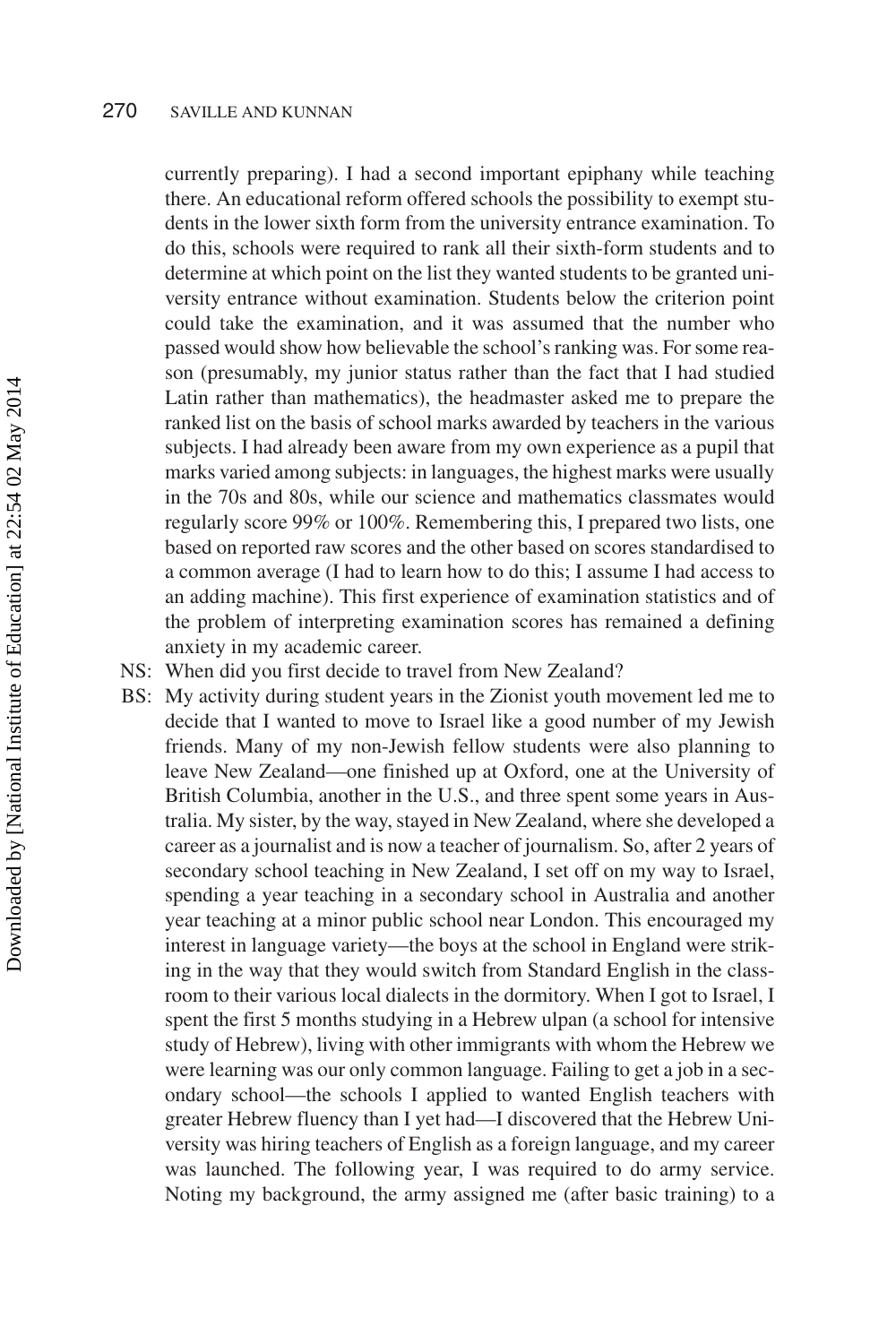currently preparing). I had a second important epiphany while teaching there. An educational reform offered schools the possibility to exempt students in the lower sixth form from the university entrance examination. To do this, schools were required to rank all their sixth-form students and to determine at which point on the list they wanted students to be granted university entrance without examination. Students below the criterion point could take the examination, and it was assumed that the number who passed would show how believable the school's ranking was. For some reason (presumably, my junior status rather than the fact that I had studied Latin rather than mathematics), the headmaster asked me to prepare the ranked list on the basis of school marks awarded by teachers in the various subjects. I had already been aware from my own experience as a pupil that marks varied among subjects: in languages, the highest marks were usually in the 70s and 80s, while our science and mathematics classmates would regularly score 99% or 100%. Remembering this, I prepared two lists, one based on reported raw scores and the other based on scores standardised to a common average (I had to learn how to do this; I assume I had access to an adding machine). This first experience of examination statistics and of the problem of interpreting examination scores has remained a defining anxiety in my academic career.

- NS: When did you first decide to travel from New Zealand?
- BS: My activity during student years in the Zionist youth movement led me to decide that I wanted to move to Israel like a good number of my Jewish friends. Many of my non-Jewish fellow students were also planning to leave New Zealand—one finished up at Oxford, one at the University of British Columbia, another in the U.S., and three spent some years in Australia. My sister, by the way, stayed in New Zealand, where she developed a career as a journalist and is now a teacher of journalism. So, after 2 years of secondary school teaching in New Zealand, I set off on my way to Israel, spending a year teaching in a secondary school in Australia and another year teaching at a minor public school near London. This encouraged my interest in language variety—the boys at the school in England were striking in the way that they would switch from Standard English in the classroom to their various local dialects in the dormitory. When I got to Israel, I spent the first 5 months studying in a Hebrew ulpan (a school for intensive study of Hebrew), living with other immigrants with whom the Hebrew we were learning was our only common language. Failing to get a job in a secondary school—the schools I applied to wanted English teachers with greater Hebrew fluency than I yet had—I discovered that the Hebrew University was hiring teachers of English as a foreign language, and my career was launched. The following year, I was required to do army service. Noting my background, the army assigned me (after basic training) to a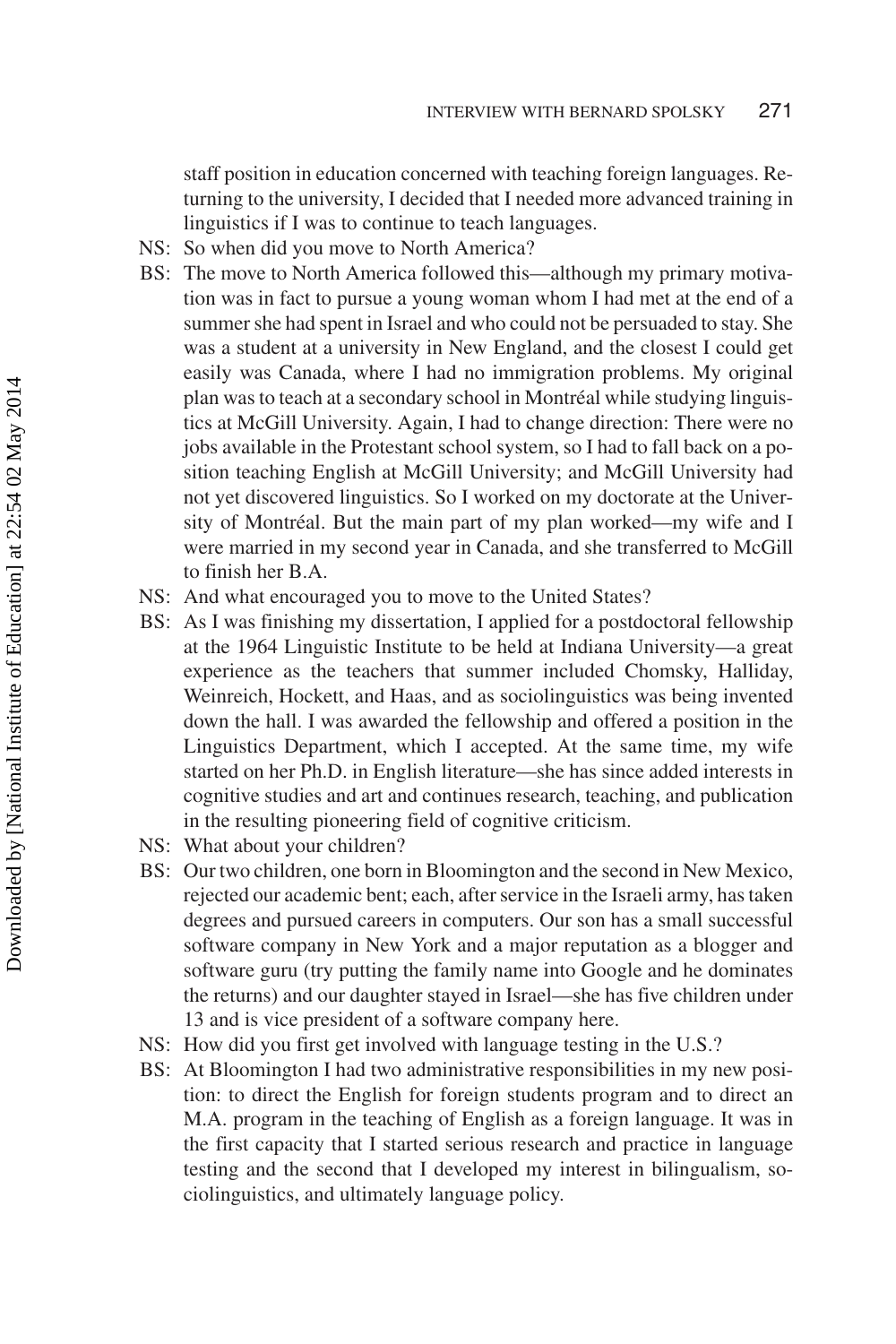staff position in education concerned with teaching foreign languages. Returning to the university, I decided that I needed more advanced training in linguistics if I was to continue to teach languages.

- NS: So when did you move to North America?
- BS: The move to North America followed this—although my primary motivation was in fact to pursue a young woman whom I had met at the end of a summer she had spent in Israel and who could not be persuaded to stay. She was a student at a university in New England, and the closest I could get easily was Canada, where I had no immigration problems. My original plan was to teach at a secondary school in Montréal while studying linguistics at McGill University. Again, I had to change direction: There were no jobs available in the Protestant school system, so I had to fall back on a position teaching English at McGill University; and McGill University had not yet discovered linguistics. So I worked on my doctorate at the University of Montréal. But the main part of my plan worked—my wife and I were married in my second year in Canada, and she transferred to McGill to finish her B.A.
- NS: And what encouraged you to move to the United States?
- BS: As I was finishing my dissertation, I applied for a postdoctoral fellowship at the 1964 Linguistic Institute to be held at Indiana University—a great experience as the teachers that summer included Chomsky, Halliday, Weinreich, Hockett, and Haas, and as sociolinguistics was being invented down the hall. I was awarded the fellowship and offered a position in the Linguistics Department, which I accepted. At the same time, my wife started on her Ph.D. in English literature—she has since added interests in cognitive studies and art and continues research, teaching, and publication in the resulting pioneering field of cognitive criticism.
- NS: What about your children?
- BS: Our two children, one born in Bloomington and the second in New Mexico, rejected our academic bent; each, after service in the Israeli army, has taken degrees and pursued careers in computers. Our son has a small successful software company in New York and a major reputation as a blogger and software guru (try putting the family name into Google and he dominates the returns) and our daughter stayed in Israel—she has five children under 13 and is vice president of a software company here.
- NS: How did you first get involved with language testing in the U.S.?
- BS: At Bloomington I had two administrative responsibilities in my new position: to direct the English for foreign students program and to direct an M.A. program in the teaching of English as a foreign language. It was in the first capacity that I started serious research and practice in language testing and the second that I developed my interest in bilingualism, sociolinguistics, and ultimately language policy.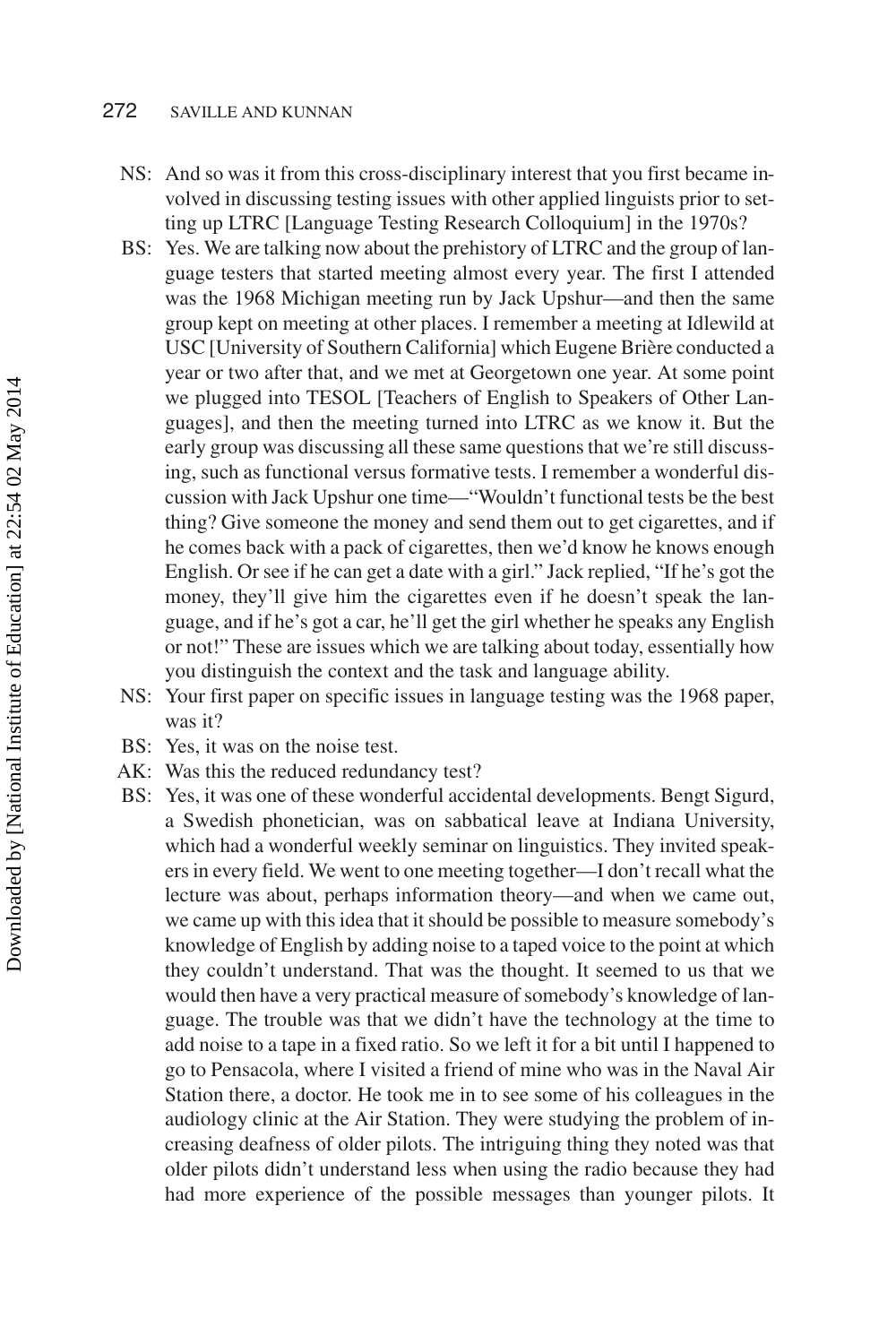- NS: And so was it from this cross-disciplinary interest that you first became involved in discussing testing issues with other applied linguists prior to setting up LTRC [Language Testing Research Colloquium] in the 1970s?
- BS: Yes. We are talking now about the prehistory of LTRC and the group of language testers that started meeting almost every year. The first I attended was the 1968 Michigan meeting run by Jack Upshur—and then the same group kept on meeting at other places. I remember a meeting at Idlewild at USC [University of Southern California] which Eugene Brière conducted a year or two after that, and we met at Georgetown one year. At some point we plugged into TESOL [Teachers of English to Speakers of Other Languages], and then the meeting turned into LTRC as we know it. But the early group was discussing all these same questions that we're still discussing, such as functional versus formative tests. I remember a wonderful discussion with Jack Upshur one time—"Wouldn't functional tests be the best thing? Give someone the money and send them out to get cigarettes, and if he comes back with a pack of cigarettes, then we'd know he knows enough English. Or see if he can get a date with a girl." Jack replied, "If he's got the money, they'll give him the cigarettes even if he doesn't speak the language, and if he's got a car, he'll get the girl whether he speaks any English or not!" These are issues which we are talking about today, essentially how you distinguish the context and the task and language ability.
- NS: Your first paper on specific issues in language testing was the 1968 paper, was it?
- BS: Yes, it was on the noise test.
- AK: Was this the reduced redundancy test?
- BS: Yes, it was one of these wonderful accidental developments. Bengt Sigurd, a Swedish phonetician, was on sabbatical leave at Indiana University, which had a wonderful weekly seminar on linguistics. They invited speakers in every field. We went to one meeting together—I don't recall what the lecture was about, perhaps information theory—and when we came out, we came up with this idea that it should be possible to measure somebody's knowledge of English by adding noise to a taped voice to the point at which they couldn't understand. That was the thought. It seemed to us that we would then have a very practical measure of somebody's knowledge of language. The trouble was that we didn't have the technology at the time to add noise to a tape in a fixed ratio. So we left it for a bit until I happened to go to Pensacola, where I visited a friend of mine who was in the Naval Air Station there, a doctor. He took me in to see some of his colleagues in the audiology clinic at the Air Station. They were studying the problem of increasing deafness of older pilots. The intriguing thing they noted was that older pilots didn't understand less when using the radio because they had had more experience of the possible messages than younger pilots. It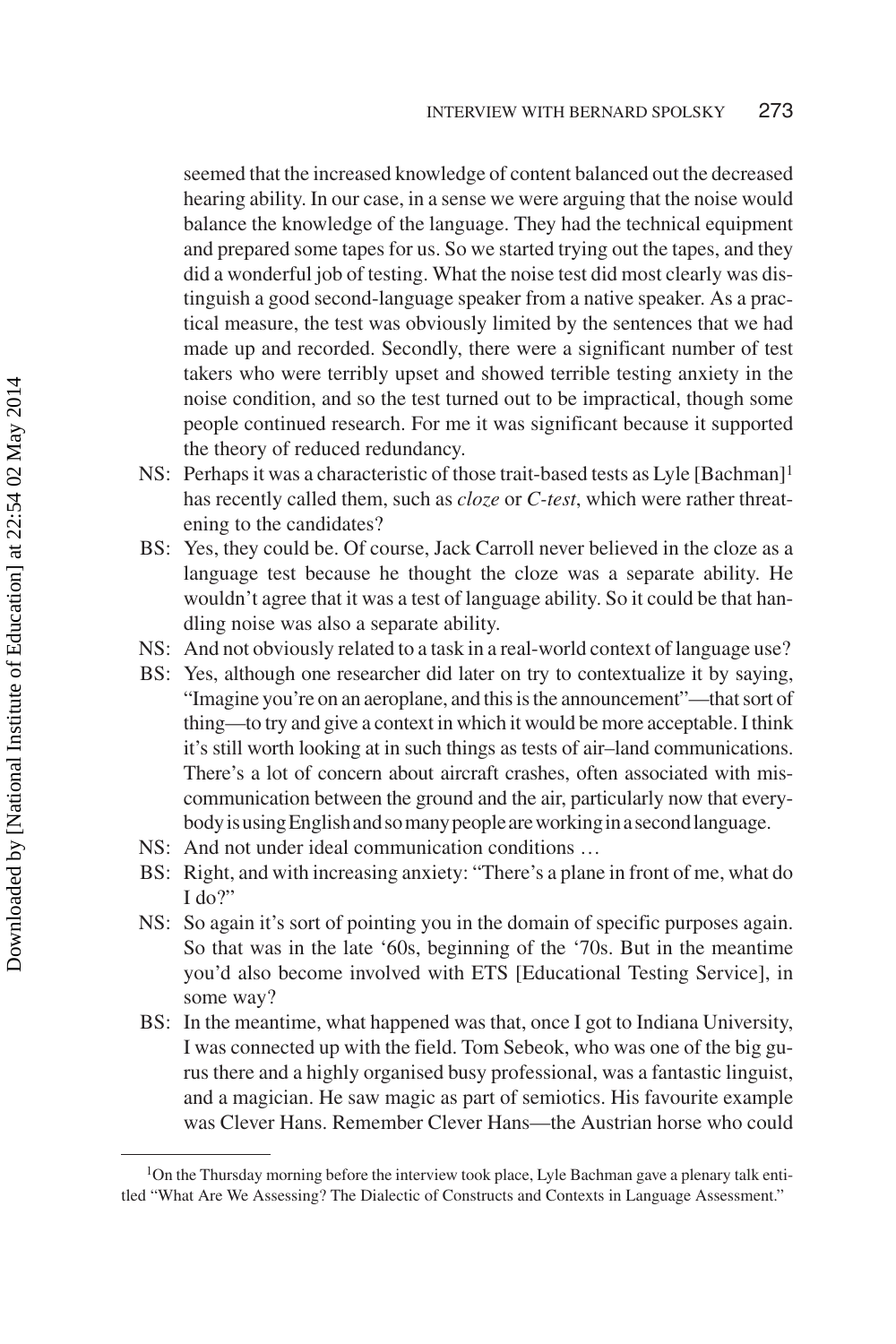seemed that the increased knowledge of content balanced out the decreased hearing ability. In our case, in a sense we were arguing that the noise would balance the knowledge of the language. They had the technical equipment and prepared some tapes for us. So we started trying out the tapes, and they did a wonderful job of testing. What the noise test did most clearly was distinguish a good second-language speaker from a native speaker. As a practical measure, the test was obviously limited by the sentences that we had made up and recorded. Secondly, there were a significant number of test takers who were terribly upset and showed terrible testing anxiety in the noise condition, and so the test turned out to be impractical, though some people continued research. For me it was significant because it supported the theory of reduced redundancy.

- NS: Perhaps it was a characteristic of those trait-based tests as Lyle [Bachman]1 has recently called them, such as *cloze* or *C-test*, which were rather threatening to the candidates?
- BS: Yes, they could be. Of course, Jack Carroll never believed in the cloze as a language test because he thought the cloze was a separate ability. He wouldn't agree that it was a test of language ability. So it could be that handling noise was also a separate ability.
- NS: And not obviously related to a task in a real-world context of language use?
- BS: Yes, although one researcher did later on try to contextualize it by saying, "Imagine you're on an aeroplane, and this is the announcement"—that sort of thing—to try and give a context in which it would be more acceptable. I think it's still worth looking at in such things as tests of air–land communications. There's a lot of concern about aircraft crashes, often associated with miscommunication between the ground and the air, particularly now that everybodyisusingEnglishandsomanypeopleareworkinginasecondlanguage.
- NS: And not under ideal communication conditions …
- BS: Right, and with increasing anxiety: "There's a plane in front of me, what do I do?"
- NS: So again it's sort of pointing you in the domain of specific purposes again. So that was in the late '60s, beginning of the '70s. But in the meantime you'd also become involved with ETS [Educational Testing Service], in some way?
- BS: In the meantime, what happened was that, once I got to Indiana University, I was connected up with the field. Tom Sebeok, who was one of the big gurus there and a highly organised busy professional, was a fantastic linguist, and a magician. He saw magic as part of semiotics. His favourite example was Clever Hans. Remember Clever Hans—the Austrian horse who could

<sup>&</sup>lt;sup>1</sup>On the Thursday morning before the interview took place, Lyle Bachman gave a plenary talk entitled "What Are We Assessing? The Dialectic of Constructs and Contexts in Language Assessment."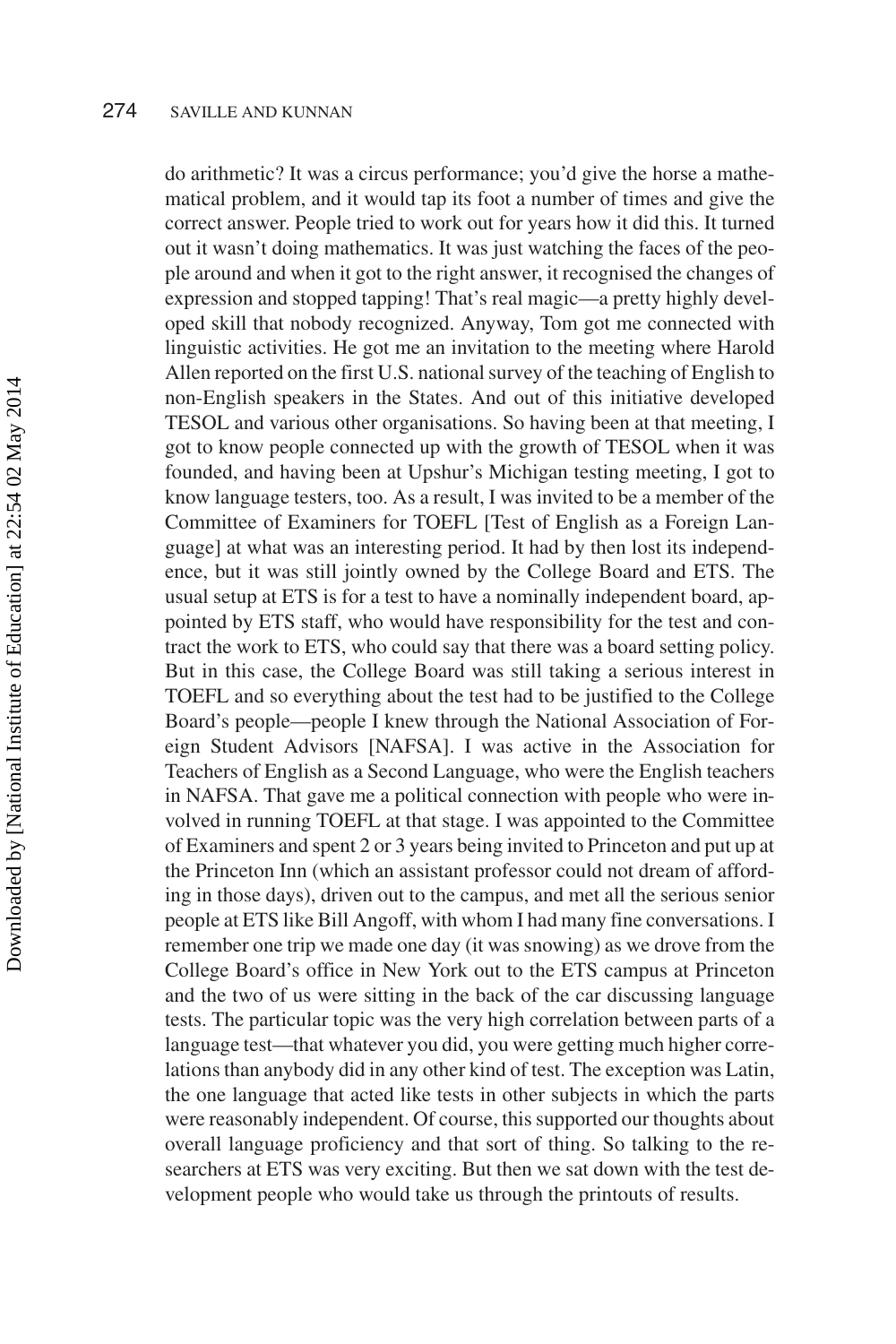do arithmetic? It was a circus performance; you'd give the horse a mathematical problem, and it would tap its foot a number of times and give the correct answer. People tried to work out for years how it did this. It turned out it wasn't doing mathematics. It was just watching the faces of the people around and when it got to the right answer, it recognised the changes of expression and stopped tapping! That's real magic—a pretty highly developed skill that nobody recognized. Anyway, Tom got me connected with linguistic activities. He got me an invitation to the meeting where Harold Allen reported on the first U.S. national survey of the teaching of English to non-English speakers in the States. And out of this initiative developed TESOL and various other organisations. So having been at that meeting, I got to know people connected up with the growth of TESOL when it was founded, and having been at Upshur's Michigan testing meeting, I got to know language testers, too. As a result, I was invited to be a member of the Committee of Examiners for TOEFL [Test of English as a Foreign Language] at what was an interesting period. It had by then lost its independence, but it was still jointly owned by the College Board and ETS. The usual setup at ETS is for a test to have a nominally independent board, appointed by ETS staff, who would have responsibility for the test and contract the work to ETS, who could say that there was a board setting policy. But in this case, the College Board was still taking a serious interest in TOEFL and so everything about the test had to be justified to the College Board's people—people I knew through the National Association of Foreign Student Advisors [NAFSA]. I was active in the Association for Teachers of English as a Second Language, who were the English teachers in NAFSA. That gave me a political connection with people who were involved in running TOEFL at that stage. I was appointed to the Committee of Examiners and spent 2 or 3 years being invited to Princeton and put up at the Princeton Inn (which an assistant professor could not dream of affording in those days), driven out to the campus, and met all the serious senior people at ETS like Bill Angoff, with whom I had many fine conversations. I remember one trip we made one day (it was snowing) as we drove from the College Board's office in New York out to the ETS campus at Princeton and the two of us were sitting in the back of the car discussing language tests. The particular topic was the very high correlation between parts of a language test—that whatever you did, you were getting much higher correlations than anybody did in any other kind of test. The exception was Latin, the one language that acted like tests in other subjects in which the parts were reasonably independent. Of course, this supported our thoughts about overall language proficiency and that sort of thing. So talking to the researchers at ETS was very exciting. But then we sat down with the test development people who would take us through the printouts of results.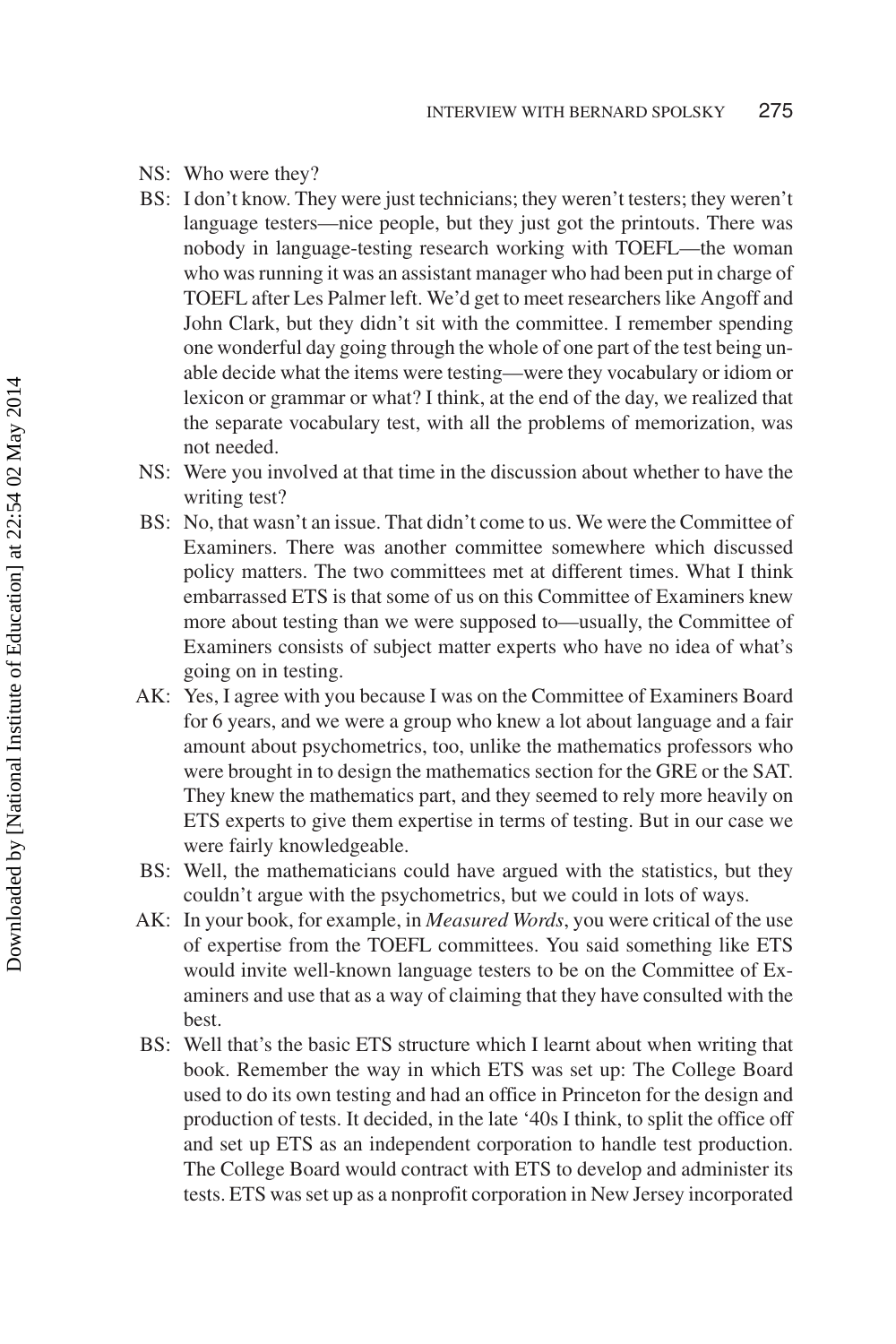- NS: Who were they?
- BS: I don't know. They were just technicians; they weren't testers; they weren't language testers—nice people, but they just got the printouts. There was nobody in language-testing research working with TOEFL—the woman who was running it was an assistant manager who had been put in charge of TOEFL after Les Palmer left. We'd get to meet researchers like Angoff and John Clark, but they didn't sit with the committee. I remember spending one wonderful day going through the whole of one part of the test being unable decide what the items were testing—were they vocabulary or idiom or lexicon or grammar or what? I think, at the end of the day, we realized that the separate vocabulary test, with all the problems of memorization, was not needed.
- NS: Were you involved at that time in the discussion about whether to have the writing test?
- BS: No, that wasn't an issue. That didn't come to us. We were the Committee of Examiners. There was another committee somewhere which discussed policy matters. The two committees met at different times. What I think embarrassed ETS is that some of us on this Committee of Examiners knew more about testing than we were supposed to—usually, the Committee of Examiners consists of subject matter experts who have no idea of what's going on in testing.
- AK: Yes, I agree with you because I was on the Committee of Examiners Board for 6 years, and we were a group who knew a lot about language and a fair amount about psychometrics, too, unlike the mathematics professors who were brought in to design the mathematics section for the GRE or the SAT. They knew the mathematics part, and they seemed to rely more heavily on ETS experts to give them expertise in terms of testing. But in our case we were fairly knowledgeable.
- BS: Well, the mathematicians could have argued with the statistics, but they couldn't argue with the psychometrics, but we could in lots of ways.
- AK: In your book, for example, in *Measured Words*, you were critical of the use of expertise from the TOEFL committees. You said something like ETS would invite well-known language testers to be on the Committee of Examiners and use that as a way of claiming that they have consulted with the best.
- BS: Well that's the basic ETS structure which I learnt about when writing that book. Remember the way in which ETS was set up: The College Board used to do its own testing and had an office in Princeton for the design and production of tests. It decided, in the late '40s I think, to split the office off and set up ETS as an independent corporation to handle test production. The College Board would contract with ETS to develop and administer its tests. ETS was set up as a nonprofit corporation in New Jersey incorporated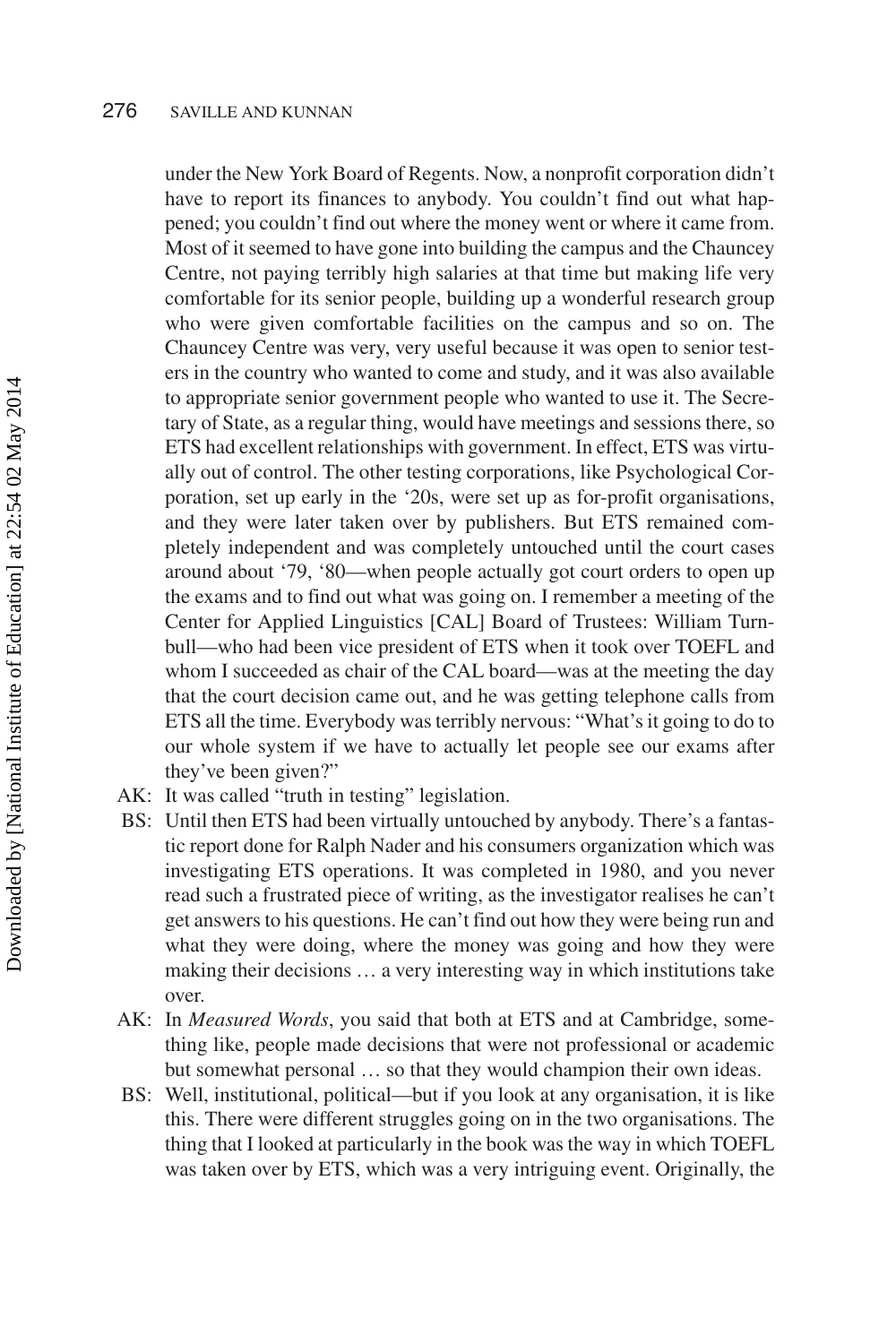under the New York Board of Regents. Now, a nonprofit corporation didn't have to report its finances to anybody. You couldn't find out what happened; you couldn't find out where the money went or where it came from. Most of it seemed to have gone into building the campus and the Chauncey Centre, not paying terribly high salaries at that time but making life very comfortable for its senior people, building up a wonderful research group who were given comfortable facilities on the campus and so on. The Chauncey Centre was very, very useful because it was open to senior testers in the country who wanted to come and study, and it was also available to appropriate senior government people who wanted to use it. The Secretary of State, as a regular thing, would have meetings and sessions there, so ETS had excellent relationships with government. In effect, ETS was virtually out of control. The other testing corporations, like Psychological Corporation, set up early in the '20s, were set up as for-profit organisations, and they were later taken over by publishers. But ETS remained completely independent and was completely untouched until the court cases around about '79, '80—when people actually got court orders to open up the exams and to find out what was going on. I remember a meeting of the Center for Applied Linguistics [CAL] Board of Trustees: William Turnbull—who had been vice president of ETS when it took over TOEFL and whom I succeeded as chair of the CAL board—was at the meeting the day that the court decision came out, and he was getting telephone calls from ETS all the time. Everybody was terribly nervous: "What's it going to do to our whole system if we have to actually let people see our exams after they've been given?"

- AK: It was called "truth in testing" legislation.
- BS: Until then ETS had been virtually untouched by anybody. There's a fantastic report done for Ralph Nader and his consumers organization which was investigating ETS operations. It was completed in 1980, and you never read such a frustrated piece of writing, as the investigator realises he can't get answers to his questions. He can't find out how they were being run and what they were doing, where the money was going and how they were making their decisions … a very interesting way in which institutions take over.
- AK: In *Measured Words*, you said that both at ETS and at Cambridge, something like, people made decisions that were not professional or academic but somewhat personal … so that they would champion their own ideas.
- BS: Well, institutional, political—but if you look at any organisation, it is like this. There were different struggles going on in the two organisations. The thing that I looked at particularly in the book was the way in which TOEFL was taken over by ETS, which was a very intriguing event. Originally, the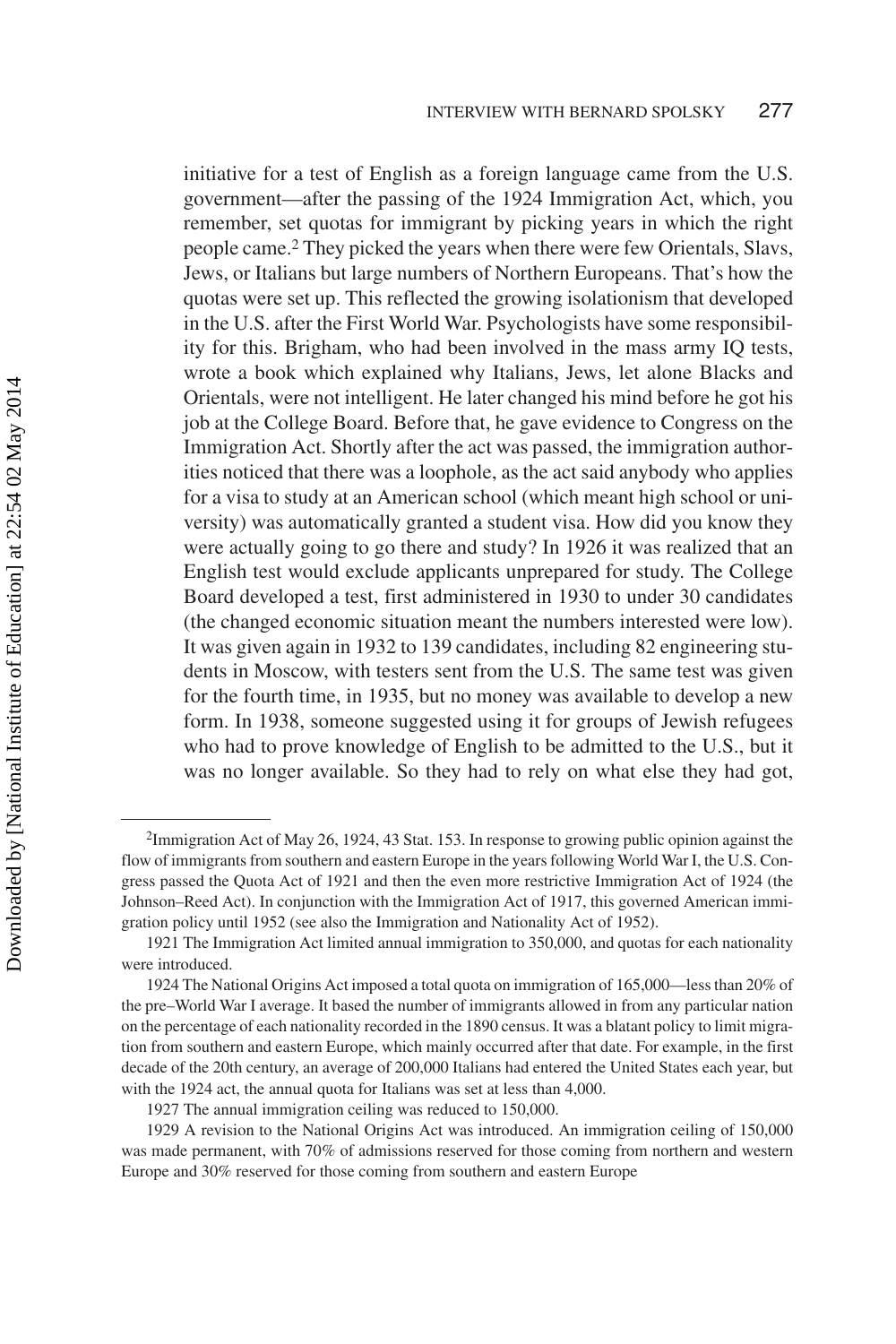initiative for a test of English as a foreign language came from the U.S. government—after the passing of the 1924 Immigration Act, which, you remember, set quotas for immigrant by picking years in which the right people came.2 They picked the years when there were few Orientals, Slavs, Jews, or Italians but large numbers of Northern Europeans. That's how the quotas were set up. This reflected the growing isolationism that developed in the U.S. after the First World War. Psychologists have some responsibility for this. Brigham, who had been involved in the mass army IQ tests, wrote a book which explained why Italians, Jews, let alone Blacks and Orientals, were not intelligent. He later changed his mind before he got his job at the College Board. Before that, he gave evidence to Congress on the Immigration Act. Shortly after the act was passed, the immigration authorities noticed that there was a loophole, as the act said anybody who applies for a visa to study at an American school (which meant high school or university) was automatically granted a student visa. How did you know they were actually going to go there and study? In 1926 it was realized that an English test would exclude applicants unprepared for study. The College Board developed a test, first administered in 1930 to under 30 candidates (the changed economic situation meant the numbers interested were low). It was given again in 1932 to 139 candidates, including 82 engineering students in Moscow, with testers sent from the U.S. The same test was given for the fourth time, in 1935, but no money was available to develop a new form. In 1938, someone suggested using it for groups of Jewish refugees who had to prove knowledge of English to be admitted to the U.S., but it was no longer available. So they had to rely on what else they had got,

<sup>2</sup>Immigration Act of May 26, 1924, 43 Stat. 153. In response to growing public opinion against the flow of immigrants from southern and eastern Europe in the years following World War I, the U.S. Congress passed the Quota Act of 1921 and then the even more restrictive Immigration Act of 1924 (the Johnson–Reed Act). In conjunction with the Immigration Act of 1917, this governed American immigration policy until 1952 (see also the Immigration and Nationality Act of 1952).

<sup>1921</sup> The Immigration Act limited annual immigration to 350,000, and quotas for each nationality were introduced.

<sup>1924</sup> The National Origins Act imposed a total quota on immigration of 165,000—less than 20% of the pre–World War I average. It based the number of immigrants allowed in from any particular nation on the percentage of each nationality recorded in the 1890 census. It was a blatant policy to limit migration from southern and eastern Europe, which mainly occurred after that date. For example, in the first decade of the 20th century, an average of 200,000 Italians had entered the United States each year, but with the 1924 act, the annual quota for Italians was set at less than 4,000.

<sup>1927</sup> The annual immigration ceiling was reduced to 150,000.

<sup>1929</sup> A revision to the National Origins Act was introduced. An immigration ceiling of 150,000 was made permanent, with 70% of admissions reserved for those coming from northern and western Europe and 30% reserved for those coming from southern and eastern Europe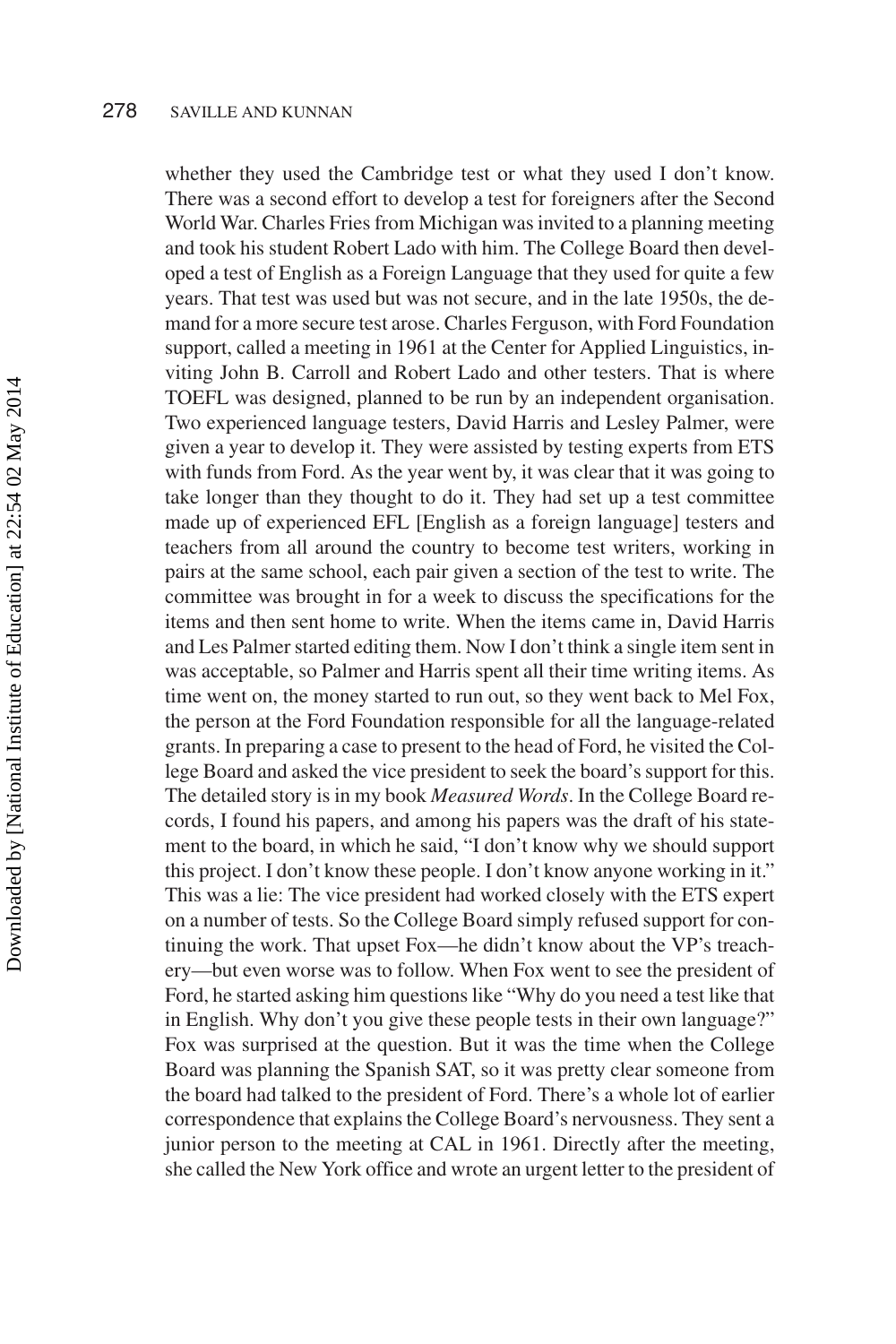whether they used the Cambridge test or what they used I don't know. There was a second effort to develop a test for foreigners after the Second World War. Charles Fries from Michigan was invited to a planning meeting and took his student Robert Lado with him. The College Board then developed a test of English as a Foreign Language that they used for quite a few years. That test was used but was not secure, and in the late 1950s, the demand for a more secure test arose. Charles Ferguson, with Ford Foundation support, called a meeting in 1961 at the Center for Applied Linguistics, inviting John B. Carroll and Robert Lado and other testers. That is where TOEFL was designed, planned to be run by an independent organisation. Two experienced language testers, David Harris and Lesley Palmer, were given a year to develop it. They were assisted by testing experts from ETS with funds from Ford. As the year went by, it was clear that it was going to take longer than they thought to do it. They had set up a test committee made up of experienced EFL [English as a foreign language] testers and teachers from all around the country to become test writers, working in pairs at the same school, each pair given a section of the test to write. The committee was brought in for a week to discuss the specifications for the items and then sent home to write. When the items came in, David Harris and Les Palmer started editing them. Now I don't think a single item sent in was acceptable, so Palmer and Harris spent all their time writing items. As time went on, the money started to run out, so they went back to Mel Fox, the person at the Ford Foundation responsible for all the language-related grants. In preparing a case to present to the head of Ford, he visited the College Board and asked the vice president to seek the board's support for this. The detailed story is in my book *Measured Words*. In the College Board records, I found his papers, and among his papers was the draft of his statement to the board, in which he said, "I don't know why we should support this project. I don't know these people. I don't know anyone working in it." This was a lie: The vice president had worked closely with the ETS expert on a number of tests. So the College Board simply refused support for continuing the work. That upset Fox—he didn't know about the VP's treachery—but even worse was to follow. When Fox went to see the president of Ford, he started asking him questions like "Why do you need a test like that in English. Why don't you give these people tests in their own language?" Fox was surprised at the question. But it was the time when the College Board was planning the Spanish SAT, so it was pretty clear someone from the board had talked to the president of Ford. There's a whole lot of earlier correspondence that explains the College Board's nervousness. They sent a junior person to the meeting at CAL in 1961. Directly after the meeting, she called the New York office and wrote an urgent letter to the president of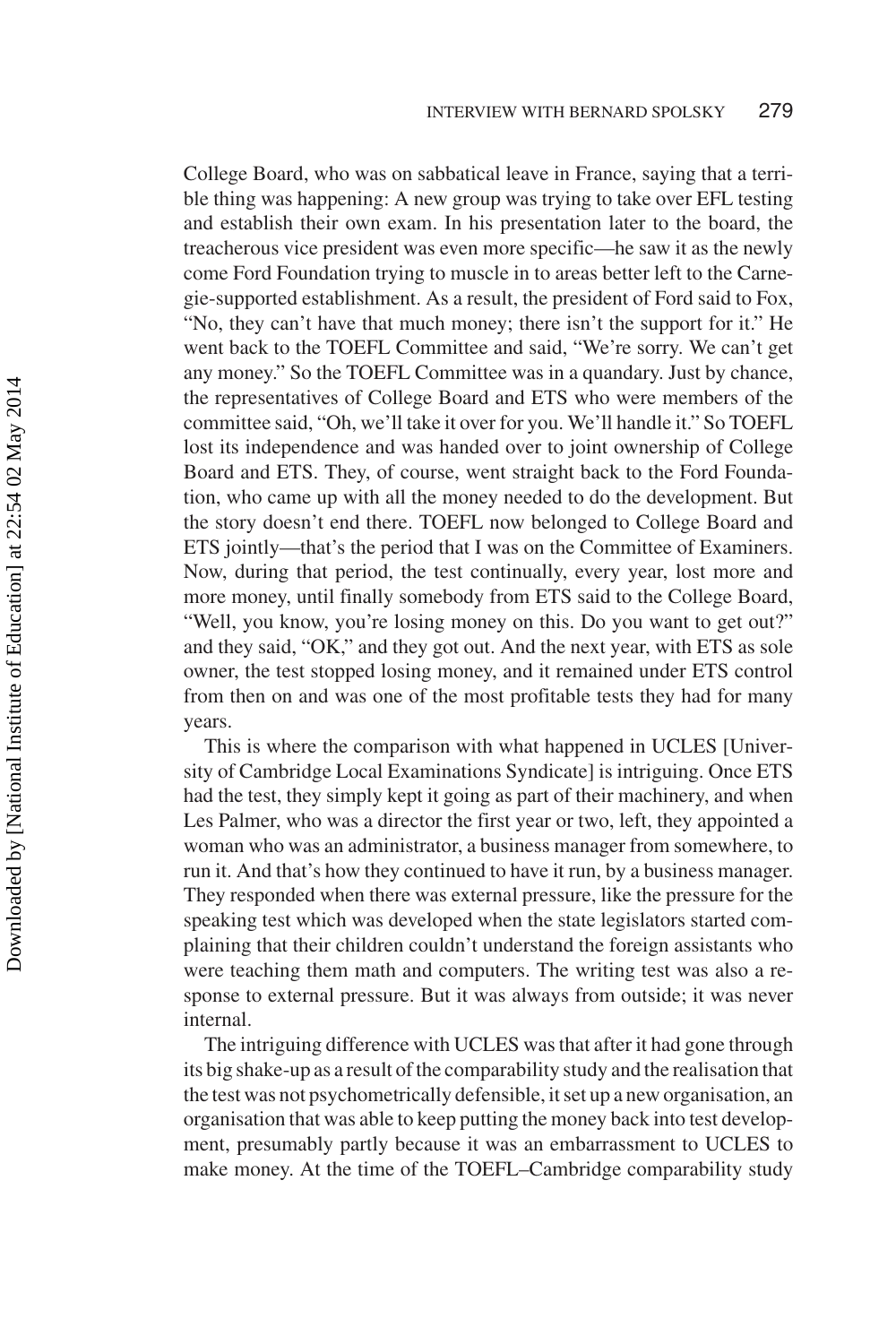College Board, who was on sabbatical leave in France, saying that a terrible thing was happening: A new group was trying to take over EFL testing and establish their own exam. In his presentation later to the board, the treacherous vice president was even more specific—he saw it as the newly come Ford Foundation trying to muscle in to areas better left to the Carnegie-supported establishment. As a result, the president of Ford said to Fox, "No, they can't have that much money; there isn't the support for it." He went back to the TOEFL Committee and said, "We're sorry. We can't get any money." So the TOEFL Committee was in a quandary. Just by chance, the representatives of College Board and ETS who were members of the committee said, "Oh, we'll take it over for you. We'll handle it." So TOEFL lost its independence and was handed over to joint ownership of College Board and ETS. They, of course, went straight back to the Ford Foundation, who came up with all the money needed to do the development. But the story doesn't end there. TOEFL now belonged to College Board and ETS jointly—that's the period that I was on the Committee of Examiners. Now, during that period, the test continually, every year, lost more and more money, until finally somebody from ETS said to the College Board, "Well, you know, you're losing money on this. Do you want to get out?" and they said, "OK," and they got out. And the next year, with ETS as sole owner, the test stopped losing money, and it remained under ETS control from then on and was one of the most profitable tests they had for many years.

This is where the comparison with what happened in UCLES [University of Cambridge Local Examinations Syndicate] is intriguing. Once ETS had the test, they simply kept it going as part of their machinery, and when Les Palmer, who was a director the first year or two, left, they appointed a woman who was an administrator, a business manager from somewhere, to run it. And that's how they continued to have it run, by a business manager. They responded when there was external pressure, like the pressure for the speaking test which was developed when the state legislators started complaining that their children couldn't understand the foreign assistants who were teaching them math and computers. The writing test was also a response to external pressure. But it was always from outside; it was never internal.

The intriguing difference with UCLES was that after it had gone through its big shake-up as a result of the comparability study and the realisation that the test was not psychometrically defensible, it set up a new organisation, an organisation that was able to keep putting the money back into test development, presumably partly because it was an embarrassment to UCLES to make money. At the time of the TOEFL–Cambridge comparability study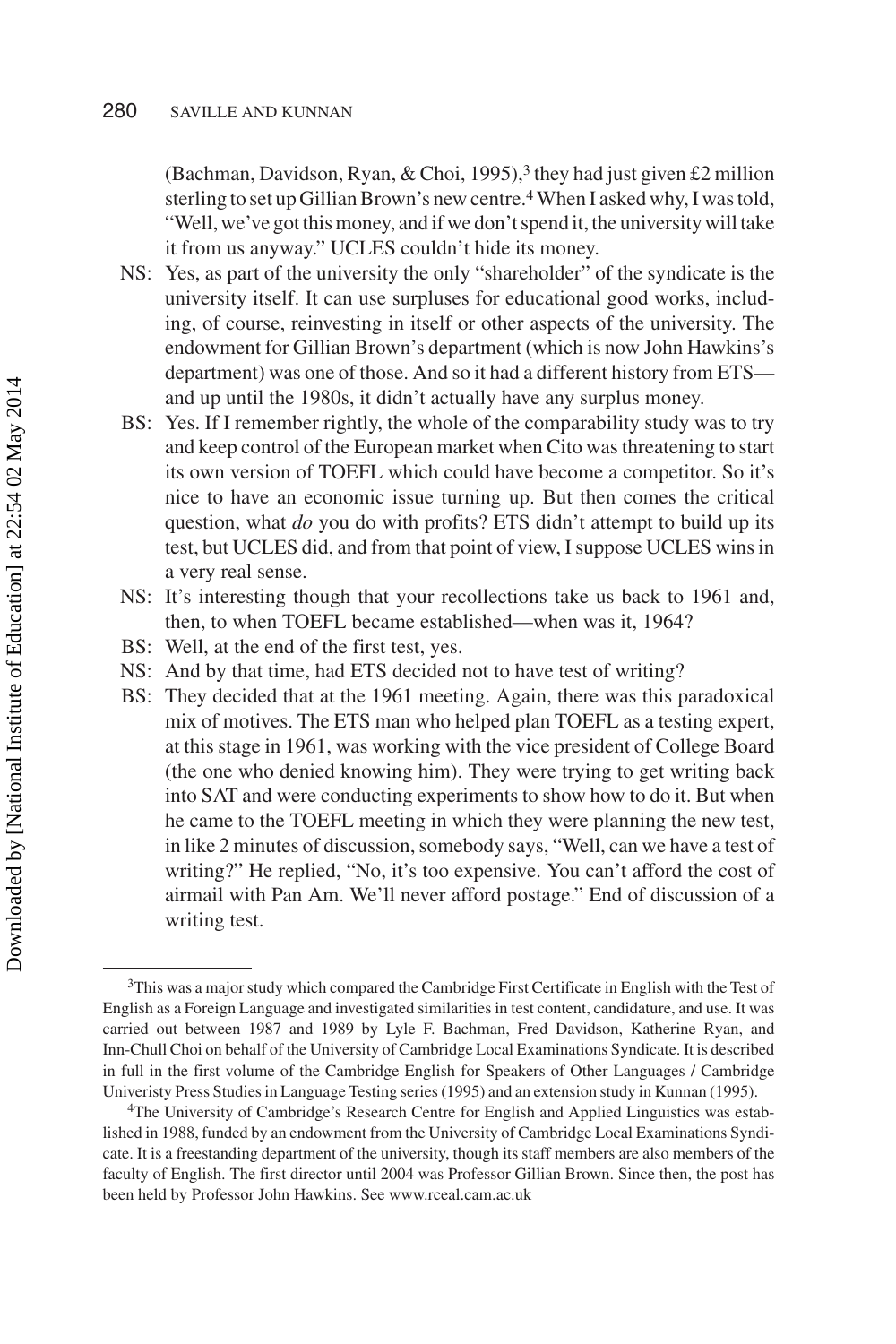(Bachman, Davidson, Ryan, & Choi, 1995),<sup>3</sup> they had just given £2 million sterling to set up Gillian Brown's new centre.<sup>4</sup> When I asked why, I was told, "Well, we've got this money, and if we don't spend it, the university will take it from us anyway." UCLES couldn't hide its money.

- NS: Yes, as part of the university the only "shareholder" of the syndicate is the university itself. It can use surpluses for educational good works, including, of course, reinvesting in itself or other aspects of the university. The endowment for Gillian Brown's department (which is now John Hawkins's department) was one of those. And so it had a different history from ETS and up until the 1980s, it didn't actually have any surplus money.
- BS: Yes. If I remember rightly, the whole of the comparability study was to try and keep control of the European market when Cito was threatening to start its own version of TOEFL which could have become a competitor. So it's nice to have an economic issue turning up. But then comes the critical question, what *do* you do with profits? ETS didn't attempt to build up its test, but UCLES did, and from that point of view, I suppose UCLES wins in a very real sense.
- NS: It's interesting though that your recollections take us back to 1961 and, then, to when TOEFL became established—when was it, 1964?
- BS: Well, at the end of the first test, yes.
- NS: And by that time, had ETS decided not to have test of writing?
- BS: They decided that at the 1961 meeting. Again, there was this paradoxical mix of motives. The ETS man who helped plan TOEFL as a testing expert, at this stage in 1961, was working with the vice president of College Board (the one who denied knowing him). They were trying to get writing back into SAT and were conducting experiments to show how to do it. But when he came to the TOEFL meeting in which they were planning the new test, in like 2 minutes of discussion, somebody says, "Well, can we have a test of writing?" He replied, "No, it's too expensive. You can't afford the cost of airmail with Pan Am. We'll never afford postage." End of discussion of a writing test.

<sup>&</sup>lt;sup>3</sup>This was a major study which compared the Cambridge First Certificate in English with the Test of English as a Foreign Language and investigated similarities in test content, candidature, and use. It was carried out between 1987 and 1989 by Lyle F. Bachman, Fred Davidson, Katherine Ryan, and Inn-Chull Choi on behalf of the University of Cambridge Local Examinations Syndicate. It is described in full in the first volume of the Cambridge English for Speakers of Other Languages / Cambridge Univeristy Press Studies in Language Testing series (1995) and an extension study in Kunnan (1995).

<sup>4</sup>The University of Cambridge's Research Centre for English and Applied Linguistics was established in 1988, funded by an endowment from the University of Cambridge Local Examinations Syndicate. It is a freestanding department of the university, though its staff members are also members of the faculty of English. The first director until 2004 was Professor Gillian Brown. Since then, the post has been held by Professor John Hawkins. See www.rceal.cam.ac.uk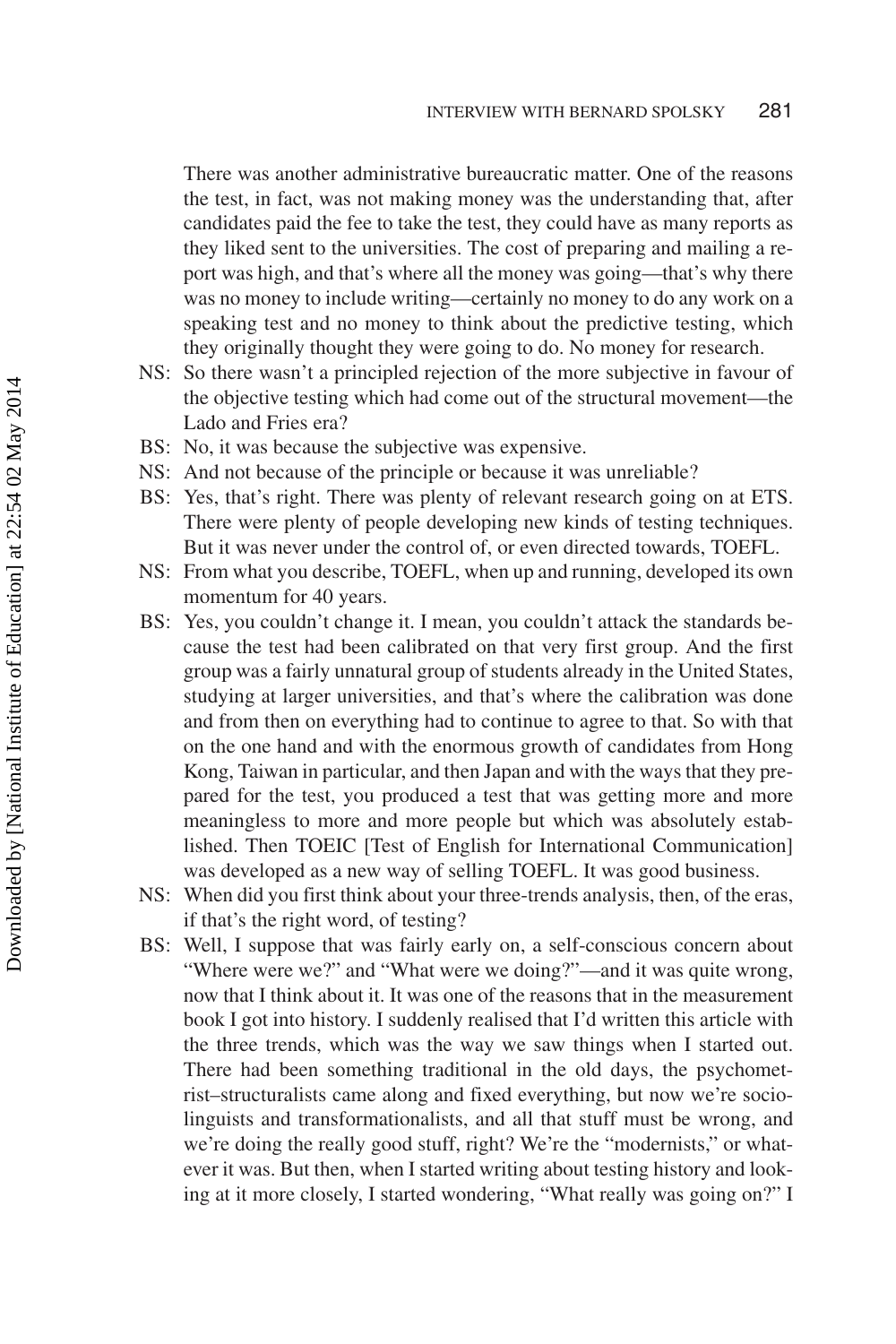There was another administrative bureaucratic matter. One of the reasons the test, in fact, was not making money was the understanding that, after candidates paid the fee to take the test, they could have as many reports as they liked sent to the universities. The cost of preparing and mailing a report was high, and that's where all the money was going—that's why there was no money to include writing—certainly no money to do any work on a speaking test and no money to think about the predictive testing, which they originally thought they were going to do. No money for research.

- NS: So there wasn't a principled rejection of the more subjective in favour of the objective testing which had come out of the structural movement—the Lado and Fries era?
- BS: No, it was because the subjective was expensive.
- NS: And not because of the principle or because it was unreliable?
- BS: Yes, that's right. There was plenty of relevant research going on at ETS. There were plenty of people developing new kinds of testing techniques. But it was never under the control of, or even directed towards, TOEFL.
- NS: From what you describe, TOEFL, when up and running, developed its own momentum for 40 years.
- BS: Yes, you couldn't change it. I mean, you couldn't attack the standards because the test had been calibrated on that very first group. And the first group was a fairly unnatural group of students already in the United States, studying at larger universities, and that's where the calibration was done and from then on everything had to continue to agree to that. So with that on the one hand and with the enormous growth of candidates from Hong Kong, Taiwan in particular, and then Japan and with the ways that they prepared for the test, you produced a test that was getting more and more meaningless to more and more people but which was absolutely established. Then TOEIC [Test of English for International Communication] was developed as a new way of selling TOEFL. It was good business.
- NS: When did you first think about your three-trends analysis, then, of the eras, if that's the right word, of testing?
- BS: Well, I suppose that was fairly early on, a self-conscious concern about "Where were we?" and "What were we doing?"—and it was quite wrong, now that I think about it. It was one of the reasons that in the measurement book I got into history. I suddenly realised that I'd written this article with the three trends, which was the way we saw things when I started out. There had been something traditional in the old days, the psychometrist–structuralists came along and fixed everything, but now we're sociolinguists and transformationalists, and all that stuff must be wrong, and we're doing the really good stuff, right? We're the "modernists," or whatever it was. But then, when I started writing about testing history and looking at it more closely, I started wondering, "What really was going on?" I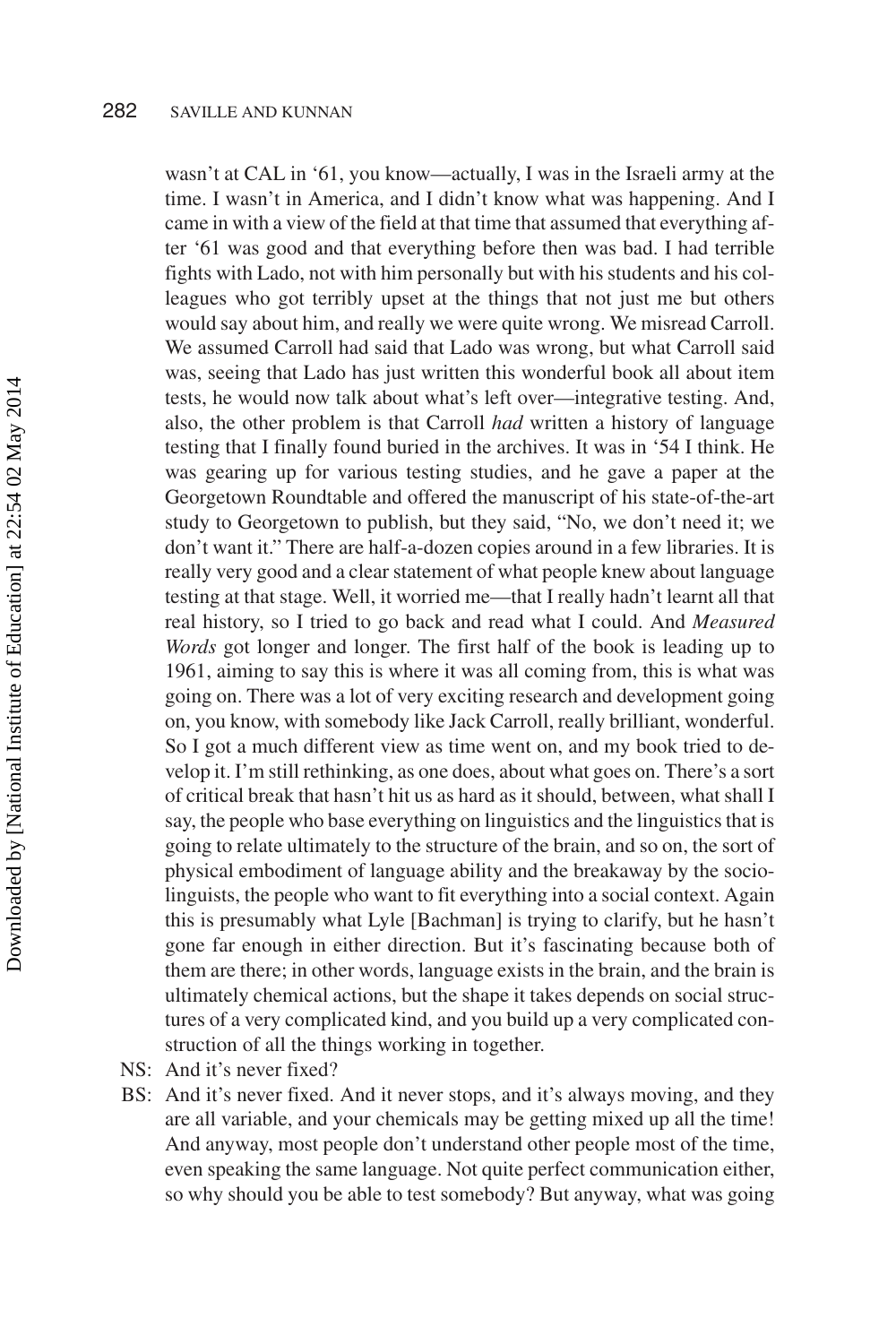wasn't at CAL in '61, you know—actually, I was in the Israeli army at the time. I wasn't in America, and I didn't know what was happening. And I came in with a view of the field at that time that assumed that everything after '61 was good and that everything before then was bad. I had terrible fights with Lado, not with him personally but with his students and his colleagues who got terribly upset at the things that not just me but others would say about him, and really we were quite wrong. We misread Carroll. We assumed Carroll had said that Lado was wrong, but what Carroll said was, seeing that Lado has just written this wonderful book all about item tests, he would now talk about what's left over—integrative testing. And, also, the other problem is that Carroll *had* written a history of language testing that I finally found buried in the archives. It was in '54 I think. He was gearing up for various testing studies, and he gave a paper at the Georgetown Roundtable and offered the manuscript of his state-of-the-art study to Georgetown to publish, but they said, "No, we don't need it; we don't want it." There are half-a-dozen copies around in a few libraries. It is really very good and a clear statement of what people knew about language testing at that stage. Well, it worried me—that I really hadn't learnt all that real history, so I tried to go back and read what I could. And *Measured Words* got longer and longer. The first half of the book is leading up to 1961, aiming to say this is where it was all coming from, this is what was going on. There was a lot of very exciting research and development going on, you know, with somebody like Jack Carroll, really brilliant, wonderful. So I got a much different view as time went on, and my book tried to develop it. I'm still rethinking, as one does, about what goes on. There's a sort of critical break that hasn't hit us as hard as it should, between, what shall I say, the people who base everything on linguistics and the linguistics that is going to relate ultimately to the structure of the brain, and so on, the sort of physical embodiment of language ability and the breakaway by the sociolinguists, the people who want to fit everything into a social context. Again this is presumably what Lyle [Bachman] is trying to clarify, but he hasn't gone far enough in either direction. But it's fascinating because both of them are there; in other words, language exists in the brain, and the brain is ultimately chemical actions, but the shape it takes depends on social structures of a very complicated kind, and you build up a very complicated construction of all the things working in together.

NS: And it's never fixed?

BS: And it's never fixed. And it never stops, and it's always moving, and they are all variable, and your chemicals may be getting mixed up all the time! And anyway, most people don't understand other people most of the time, even speaking the same language. Not quite perfect communication either, so why should you be able to test somebody? But anyway, what was going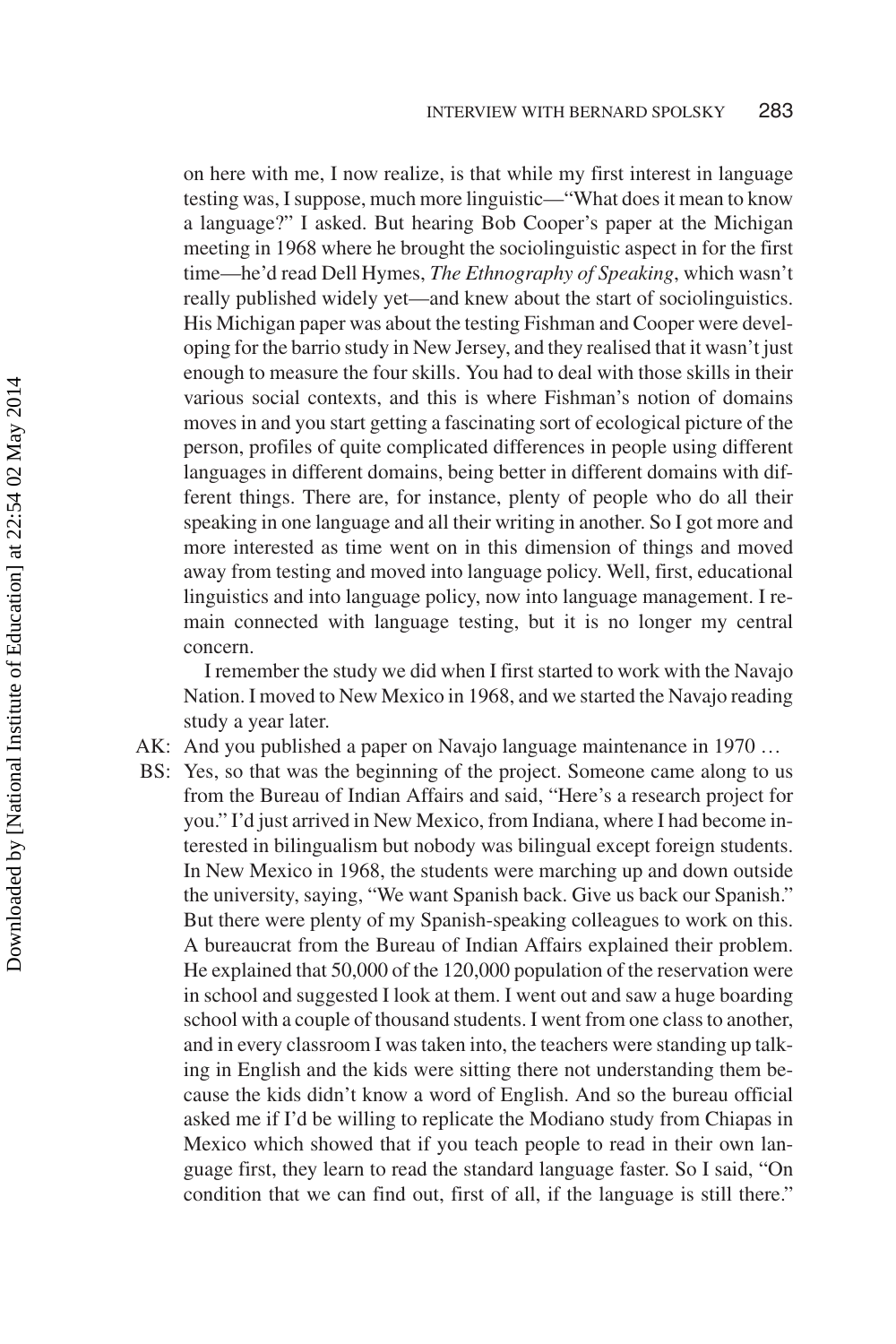on here with me, I now realize, is that while my first interest in language testing was, I suppose, much more linguistic—"What does it mean to know a language?" I asked. But hearing Bob Cooper's paper at the Michigan meeting in 1968 where he brought the sociolinguistic aspect in for the first time—he'd read Dell Hymes, *The Ethnography of Speaking*, which wasn't really published widely yet—and knew about the start of sociolinguistics. His Michigan paper was about the testing Fishman and Cooper were developing for the barrio study in New Jersey, and they realised that it wasn't just enough to measure the four skills. You had to deal with those skills in their various social contexts, and this is where Fishman's notion of domains moves in and you start getting a fascinating sort of ecological picture of the person, profiles of quite complicated differences in people using different languages in different domains, being better in different domains with different things. There are, for instance, plenty of people who do all their speaking in one language and all their writing in another. So I got more and more interested as time went on in this dimension of things and moved away from testing and moved into language policy. Well, first, educational linguistics and into language policy, now into language management. I remain connected with language testing, but it is no longer my central concern.

I remember the study we did when I first started to work with the Navajo Nation. I moved to New Mexico in 1968, and we started the Navajo reading study a year later.

- AK: And you published a paper on Navajo language maintenance in 1970 …
- BS: Yes, so that was the beginning of the project. Someone came along to us from the Bureau of Indian Affairs and said, "Here's a research project for you." I'd just arrived in New Mexico, from Indiana, where I had become interested in bilingualism but nobody was bilingual except foreign students. In New Mexico in 1968, the students were marching up and down outside the university, saying, "We want Spanish back. Give us back our Spanish." But there were plenty of my Spanish-speaking colleagues to work on this. A bureaucrat from the Bureau of Indian Affairs explained their problem. He explained that 50,000 of the 120,000 population of the reservation were in school and suggested I look at them. I went out and saw a huge boarding school with a couple of thousand students. I went from one class to another, and in every classroom I was taken into, the teachers were standing up talking in English and the kids were sitting there not understanding them because the kids didn't know a word of English. And so the bureau official asked me if I'd be willing to replicate the Modiano study from Chiapas in Mexico which showed that if you teach people to read in their own language first, they learn to read the standard language faster. So I said, "On condition that we can find out, first of all, if the language is still there."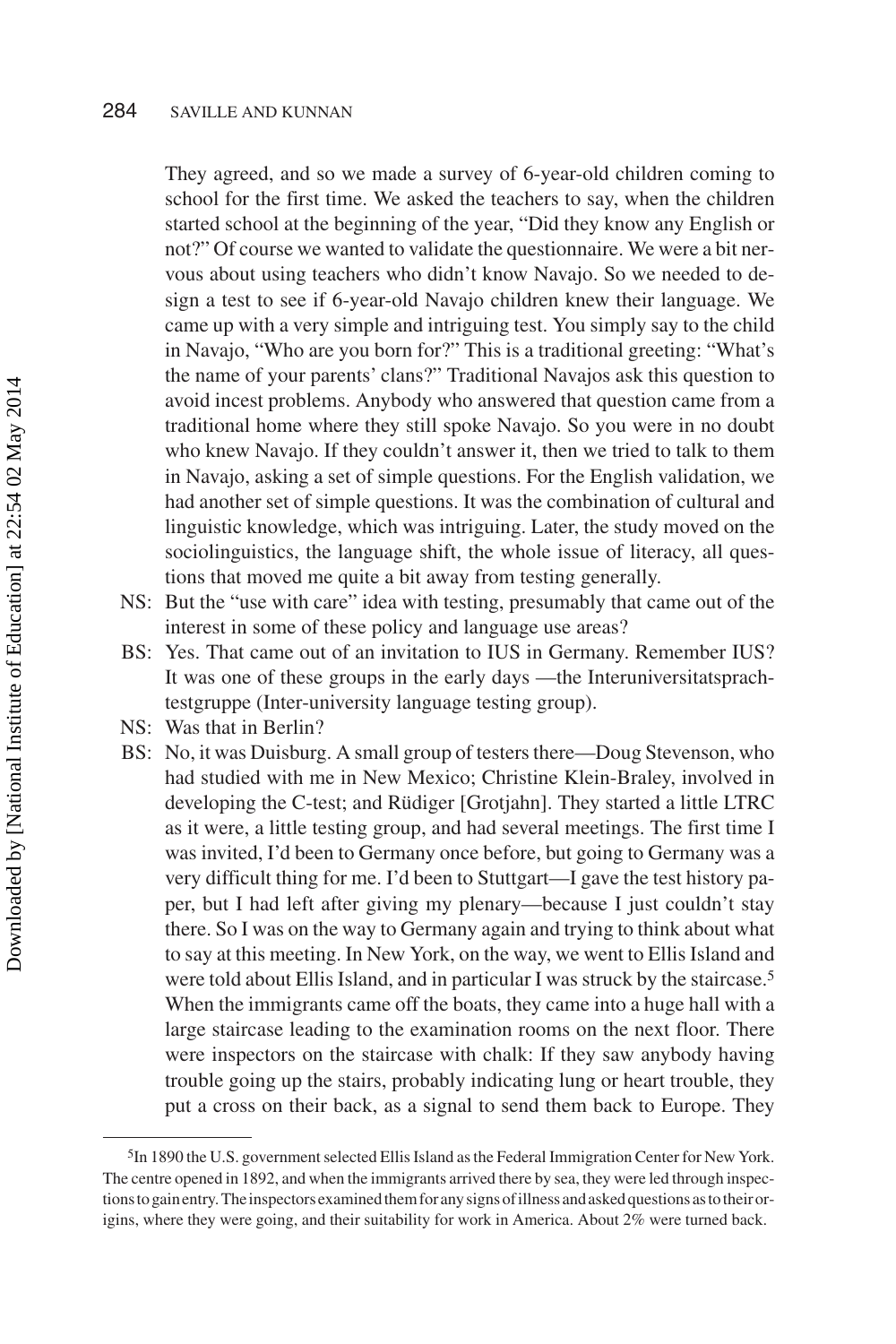They agreed, and so we made a survey of 6-year-old children coming to school for the first time. We asked the teachers to say, when the children started school at the beginning of the year, "Did they know any English or not?" Of course we wanted to validate the questionnaire. We were a bit nervous about using teachers who didn't know Navajo. So we needed to design a test to see if 6-year-old Navajo children knew their language. We came up with a very simple and intriguing test. You simply say to the child in Navajo, "Who are you born for?" This is a traditional greeting: "What's the name of your parents' clans?" Traditional Navajos ask this question to avoid incest problems. Anybody who answered that question came from a traditional home where they still spoke Navajo. So you were in no doubt who knew Navajo. If they couldn't answer it, then we tried to talk to them in Navajo, asking a set of simple questions. For the English validation, we had another set of simple questions. It was the combination of cultural and linguistic knowledge, which was intriguing. Later, the study moved on the sociolinguistics, the language shift, the whole issue of literacy, all questions that moved me quite a bit away from testing generally.

- NS: But the "use with care" idea with testing, presumably that came out of the interest in some of these policy and language use areas?
- BS: Yes. That came out of an invitation to IUS in Germany. Remember IUS? It was one of these groups in the early days —the Interuniversitatsprachtestgruppe (Inter-university language testing group).
- NS: Was that in Berlin?
- BS: No, it was Duisburg. A small group of testers there—Doug Stevenson, who had studied with me in New Mexico; Christine Klein-Braley, involved in developing the C-test; and Rüdiger [Grotjahn]. They started a little LTRC as it were, a little testing group, and had several meetings. The first time I was invited, I'd been to Germany once before, but going to Germany was a very difficult thing for me. I'd been to Stuttgart—I gave the test history paper, but I had left after giving my plenary—because I just couldn't stay there. So I was on the way to Germany again and trying to think about what to say at this meeting. In New York, on the way, we went to Ellis Island and were told about Ellis Island, and in particular I was struck by the staircase.5 When the immigrants came off the boats, they came into a huge hall with a large staircase leading to the examination rooms on the next floor. There were inspectors on the staircase with chalk: If they saw anybody having trouble going up the stairs, probably indicating lung or heart trouble, they put a cross on their back, as a signal to send them back to Europe. They

<sup>5</sup>In 1890 the U.S. government selected Ellis Island as the Federal Immigration Center for New York. The centre opened in 1892, and when the immigrants arrived there by sea, they were led through inspections to gain entry. The inspectors examined them for any signs of illness and asked questions as to their origins, where they were going, and their suitability for work in America. About 2% were turned back.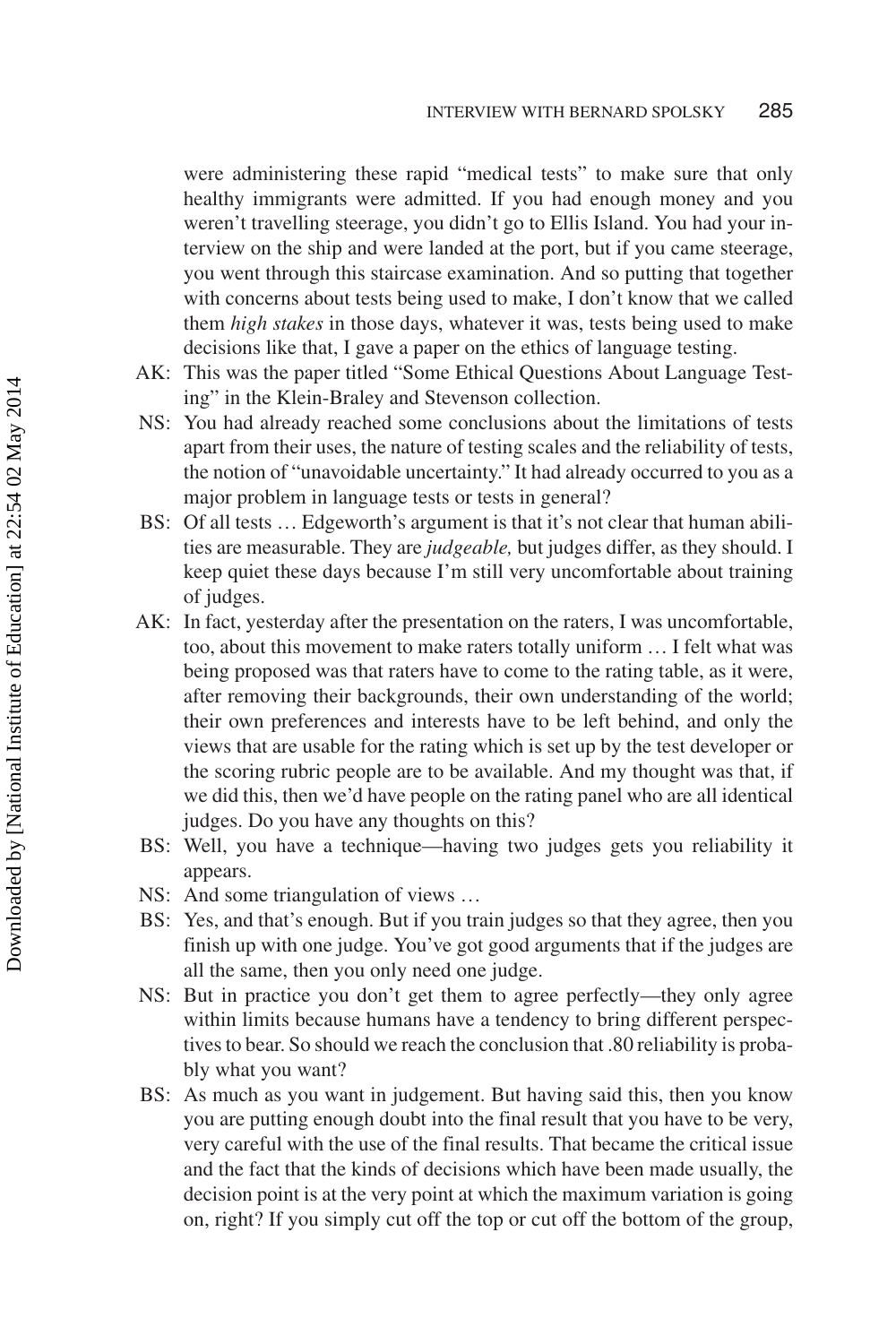were administering these rapid "medical tests" to make sure that only healthy immigrants were admitted. If you had enough money and you weren't travelling steerage, you didn't go to Ellis Island. You had your interview on the ship and were landed at the port, but if you came steerage, you went through this staircase examination. And so putting that together with concerns about tests being used to make, I don't know that we called them *high stakes* in those days, whatever it was, tests being used to make decisions like that, I gave a paper on the ethics of language testing.

- AK: This was the paper titled "Some Ethical Questions About Language Testing" in the Klein-Braley and Stevenson collection.
- NS: You had already reached some conclusions about the limitations of tests apart from their uses, the nature of testing scales and the reliability of tests, the notion of "unavoidable uncertainty." It had already occurred to you as a major problem in language tests or tests in general?
- BS: Of all tests … Edgeworth's argument is that it's not clear that human abilities are measurable. They are *judgeable,* but judges differ, as they should. I keep quiet these days because I'm still very uncomfortable about training of judges.
- AK: In fact, yesterday after the presentation on the raters, I was uncomfortable, too, about this movement to make raters totally uniform … I felt what was being proposed was that raters have to come to the rating table, as it were, after removing their backgrounds, their own understanding of the world; their own preferences and interests have to be left behind, and only the views that are usable for the rating which is set up by the test developer or the scoring rubric people are to be available. And my thought was that, if we did this, then we'd have people on the rating panel who are all identical judges. Do you have any thoughts on this?
- BS: Well, you have a technique—having two judges gets you reliability it appears.
- NS: And some triangulation of views …
- BS: Yes, and that's enough. But if you train judges so that they agree, then you finish up with one judge. You've got good arguments that if the judges are all the same, then you only need one judge.
- NS: But in practice you don't get them to agree perfectly—they only agree within limits because humans have a tendency to bring different perspectives to bear. So should we reach the conclusion that .80 reliability is probably what you want?
- BS: As much as you want in judgement. But having said this, then you know you are putting enough doubt into the final result that you have to be very, very careful with the use of the final results. That became the critical issue and the fact that the kinds of decisions which have been made usually, the decision point is at the very point at which the maximum variation is going on, right? If you simply cut off the top or cut off the bottom of the group,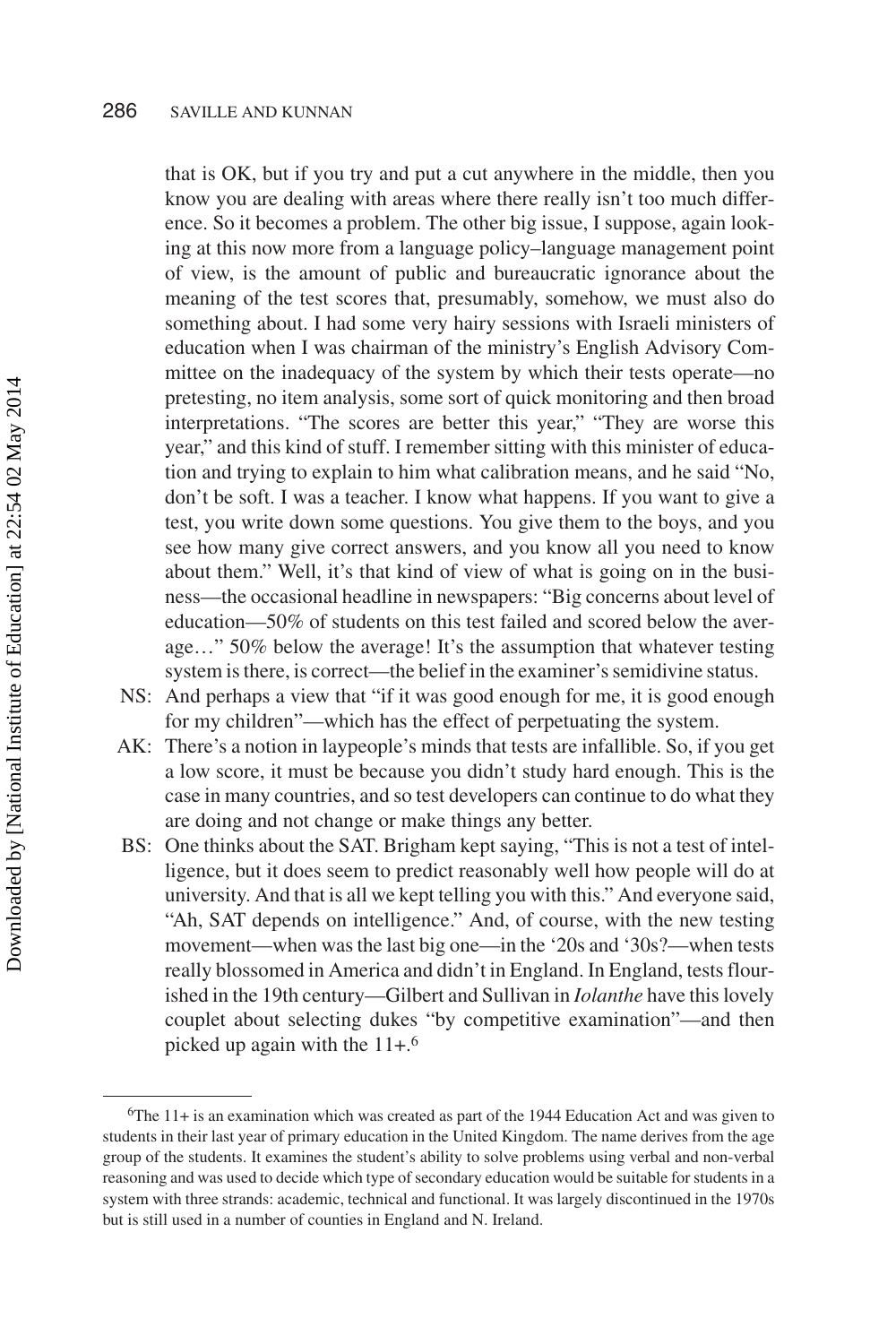that is OK, but if you try and put a cut anywhere in the middle, then you know you are dealing with areas where there really isn't too much difference. So it becomes a problem. The other big issue, I suppose, again looking at this now more from a language policy–language management point of view, is the amount of public and bureaucratic ignorance about the meaning of the test scores that, presumably, somehow, we must also do something about. I had some very hairy sessions with Israeli ministers of education when I was chairman of the ministry's English Advisory Committee on the inadequacy of the system by which their tests operate—no pretesting, no item analysis, some sort of quick monitoring and then broad interpretations. "The scores are better this year," "They are worse this year," and this kind of stuff. I remember sitting with this minister of education and trying to explain to him what calibration means, and he said "No, don't be soft. I was a teacher. I know what happens. If you want to give a test, you write down some questions. You give them to the boys, and you see how many give correct answers, and you know all you need to know about them." Well, it's that kind of view of what is going on in the business—the occasional headline in newspapers: "Big concerns about level of education—50% of students on this test failed and scored below the average…" 50% below the average! It's the assumption that whatever testing system is there, is correct—the belief in the examiner's semidivine status.

- NS: And perhaps a view that "if it was good enough for me, it is good enough for my children"—which has the effect of perpetuating the system.
- AK: There's a notion in laypeople's minds that tests are infallible. So, if you get a low score, it must be because you didn't study hard enough. This is the case in many countries, and so test developers can continue to do what they are doing and not change or make things any better.
- BS: One thinks about the SAT. Brigham kept saying, "This is not a test of intelligence, but it does seem to predict reasonably well how people will do at university. And that is all we kept telling you with this." And everyone said, "Ah, SAT depends on intelligence." And, of course, with the new testing movement—when was the last big one—in the '20s and '30s?—when tests really blossomed in America and didn't in England. In England, tests flourished in the 19th century—Gilbert and Sullivan in *Iolanthe* have this lovely couplet about selecting dukes "by competitive examination"—and then picked up again with the 11+.6

 $6$ The 11+ is an examination which was created as part of the 1944 Education Act and was given to students in their last year of primary education in the United Kingdom. The name derives from the age group of the students. It examines the student's ability to solve problems using verbal and non-verbal reasoning and was used to decide which type of secondary education would be suitable for students in a system with three strands: academic, technical and functional. It was largely discontinued in the 1970s but is still used in a number of counties in England and N. Ireland.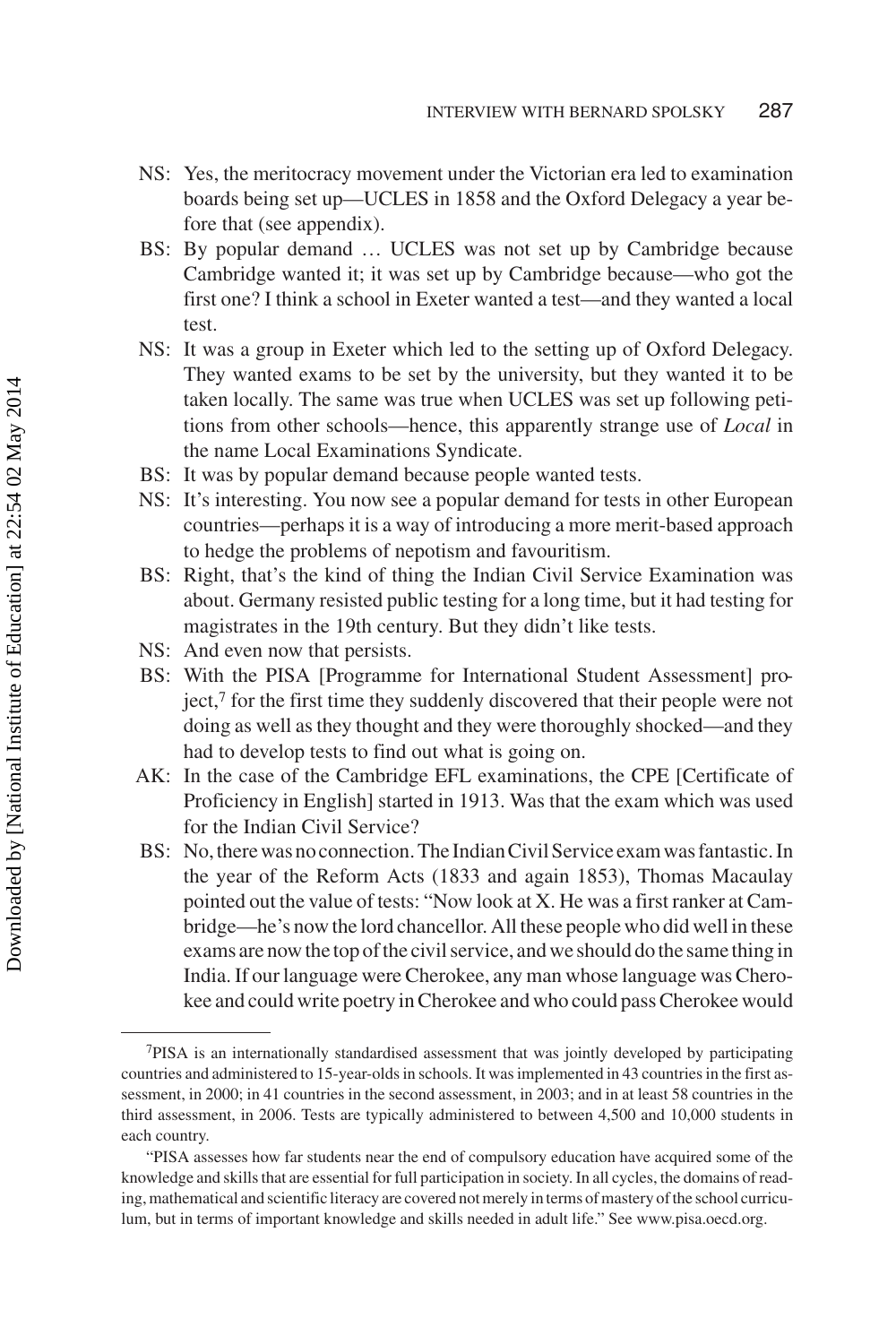- NS: Yes, the meritocracy movement under the Victorian era led to examination boards being set up—UCLES in 1858 and the Oxford Delegacy a year before that (see appendix).
- BS: By popular demand … UCLES was not set up by Cambridge because Cambridge wanted it; it was set up by Cambridge because—who got the first one? I think a school in Exeter wanted a test—and they wanted a local test.
- NS: It was a group in Exeter which led to the setting up of Oxford Delegacy. They wanted exams to be set by the university, but they wanted it to be taken locally. The same was true when UCLES was set up following petitions from other schools—hence, this apparently strange use of *Local* in the name Local Examinations Syndicate.
- BS: It was by popular demand because people wanted tests.
- NS: It's interesting. You now see a popular demand for tests in other European countries—perhaps it is a way of introducing a more merit-based approach to hedge the problems of nepotism and favouritism.
- BS: Right, that's the kind of thing the Indian Civil Service Examination was about. Germany resisted public testing for a long time, but it had testing for magistrates in the 19th century. But they didn't like tests.
- NS: And even now that persists.
- BS: With the PISA [Programme for International Student Assessment] project,<sup>7</sup> for the first time they suddenly discovered that their people were not doing as well as they thought and they were thoroughly shocked—and they had to develop tests to find out what is going on.
- AK: In the case of the Cambridge EFL examinations, the CPE [Certificate of Proficiency in English] started in 1913. Was that the exam which was used for the Indian Civil Service?
- BS: No, there was no connection. The Indian Civil Service exam was fantastic. In the year of the Reform Acts (1833 and again 1853), Thomas Macaulay pointed out the value of tests: "Now look at X. He was a first ranker at Cambridge—he's now the lord chancellor. All these people who did well in these exams are now the top of the civil service, and we should do the same thing in India. If our language were Cherokee, any man whose language was Cherokee and could write poetry in Cherokee and who could pass Cherokee would

<sup>7</sup>PISA is an internationally standardised assessment that was jointly developed by participating countries and administered to 15-year-olds in schools. It was implemented in 43 countries in the first assessment, in 2000; in 41 countries in the second assessment, in 2003; and in at least 58 countries in the third assessment, in 2006. Tests are typically administered to between 4,500 and 10,000 students in each country.

<sup>&</sup>quot;PISA assesses how far students near the end of compulsory education have acquired some of the knowledge and skills that are essential for full participation in society. In all cycles, the domains of reading, mathematical and scientific literacy are covered not merely in terms of mastery of the school curriculum, but in terms of important knowledge and skills needed in adult life." See www.pisa.oecd.org.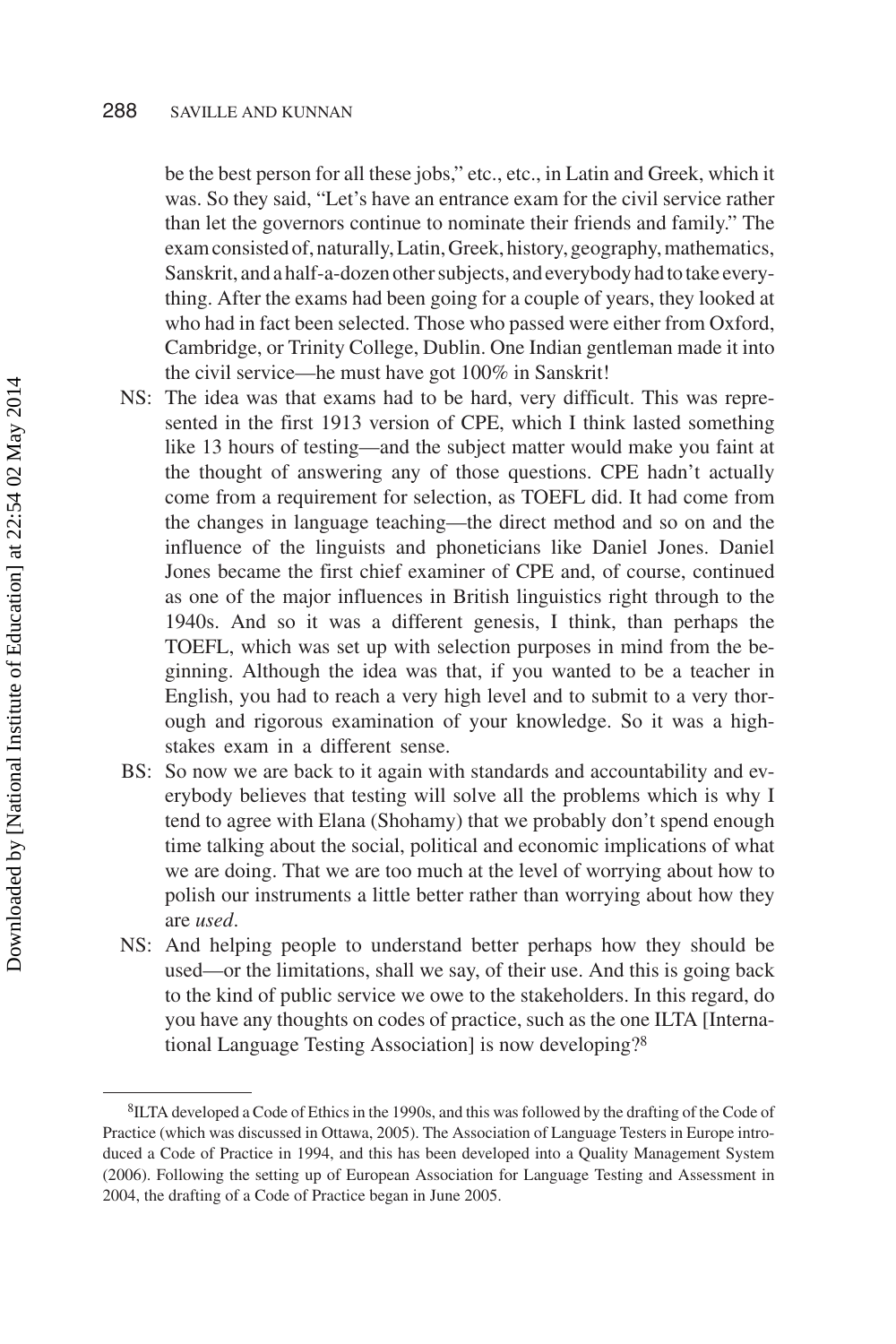be the best person for all these jobs," etc., etc., in Latin and Greek, which it was. So they said, "Let's have an entrance exam for the civil service rather than let the governors continue to nominate their friends and family." The exam consisted of, naturally, Latin, Greek, history, geography, mathematics, Sanskrit, and a half-a-dozen other subjects, and everybody had to take everything. After the exams had been going for a couple of years, they looked at who had in fact been selected. Those who passed were either from Oxford, Cambridge, or Trinity College, Dublin. One Indian gentleman made it into the civil service—he must have got 100% in Sanskrit!

- NS: The idea was that exams had to be hard, very difficult. This was represented in the first 1913 version of CPE, which I think lasted something like 13 hours of testing—and the subject matter would make you faint at the thought of answering any of those questions. CPE hadn't actually come from a requirement for selection, as TOEFL did. It had come from the changes in language teaching—the direct method and so on and the influence of the linguists and phoneticians like Daniel Jones. Daniel Jones became the first chief examiner of CPE and, of course, continued as one of the major influences in British linguistics right through to the 1940s. And so it was a different genesis, I think, than perhaps the TOEFL, which was set up with selection purposes in mind from the beginning. Although the idea was that, if you wanted to be a teacher in English, you had to reach a very high level and to submit to a very thorough and rigorous examination of your knowledge. So it was a highstakes exam in a different sense.
- BS: So now we are back to it again with standards and accountability and everybody believes that testing will solve all the problems which is why I tend to agree with Elana (Shohamy) that we probably don't spend enough time talking about the social, political and economic implications of what we are doing. That we are too much at the level of worrying about how to polish our instruments a little better rather than worrying about how they are *used*.
- NS: And helping people to understand better perhaps how they should be used—or the limitations, shall we say, of their use. And this is going back to the kind of public service we owe to the stakeholders. In this regard, do you have any thoughts on codes of practice, such as the one ILTA [International Language Testing Association] is now developing?8

<sup>8</sup>ILTA developed a Code of Ethics in the 1990s, and this was followed by the drafting of the Code of Practice (which was discussed in Ottawa, 2005). The Association of Language Testers in Europe introduced a Code of Practice in 1994, and this has been developed into a Quality Management System (2006). Following the setting up of European Association for Language Testing and Assessment in 2004, the drafting of a Code of Practice began in June 2005.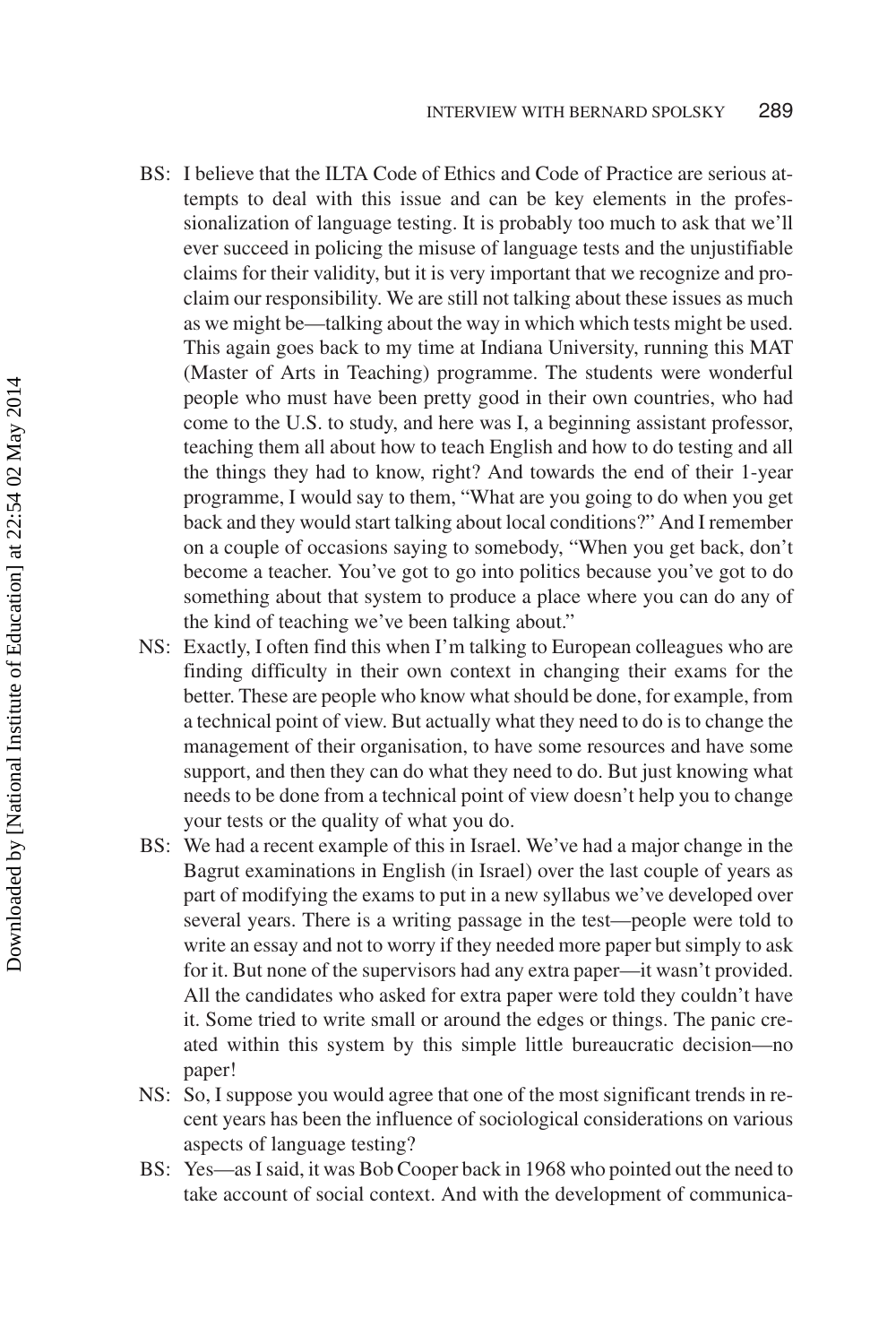- BS: I believe that the ILTA Code of Ethics and Code of Practice are serious attempts to deal with this issue and can be key elements in the professionalization of language testing. It is probably too much to ask that we'll ever succeed in policing the misuse of language tests and the unjustifiable claims for their validity, but it is very important that we recognize and proclaim our responsibility. We are still not talking about these issues as much as we might be—talking about the way in which which tests might be used. This again goes back to my time at Indiana University, running this MAT (Master of Arts in Teaching) programme. The students were wonderful people who must have been pretty good in their own countries, who had come to the U.S. to study, and here was I, a beginning assistant professor, teaching them all about how to teach English and how to do testing and all the things they had to know, right? And towards the end of their 1-year programme, I would say to them, "What are you going to do when you get back and they would start talking about local conditions?" And I remember on a couple of occasions saying to somebody, "When you get back, don't become a teacher. You've got to go into politics because you've got to do something about that system to produce a place where you can do any of the kind of teaching we've been talking about."
- NS: Exactly, I often find this when I'm talking to European colleagues who are finding difficulty in their own context in changing their exams for the better. These are people who know what should be done, for example, from a technical point of view. But actually what they need to do is to change the management of their organisation, to have some resources and have some support, and then they can do what they need to do. But just knowing what needs to be done from a technical point of view doesn't help you to change your tests or the quality of what you do.
- BS: We had a recent example of this in Israel. We've had a major change in the Bagrut examinations in English (in Israel) over the last couple of years as part of modifying the exams to put in a new syllabus we've developed over several years. There is a writing passage in the test—people were told to write an essay and not to worry if they needed more paper but simply to ask for it. But none of the supervisors had any extra paper—it wasn't provided. All the candidates who asked for extra paper were told they couldn't have it. Some tried to write small or around the edges or things. The panic created within this system by this simple little bureaucratic decision—no paper!
- NS: So, I suppose you would agree that one of the most significant trends in recent years has been the influence of sociological considerations on various aspects of language testing?
- BS: Yes—as I said, it was Bob Cooper back in 1968 who pointed out the need to take account of social context. And with the development of communica-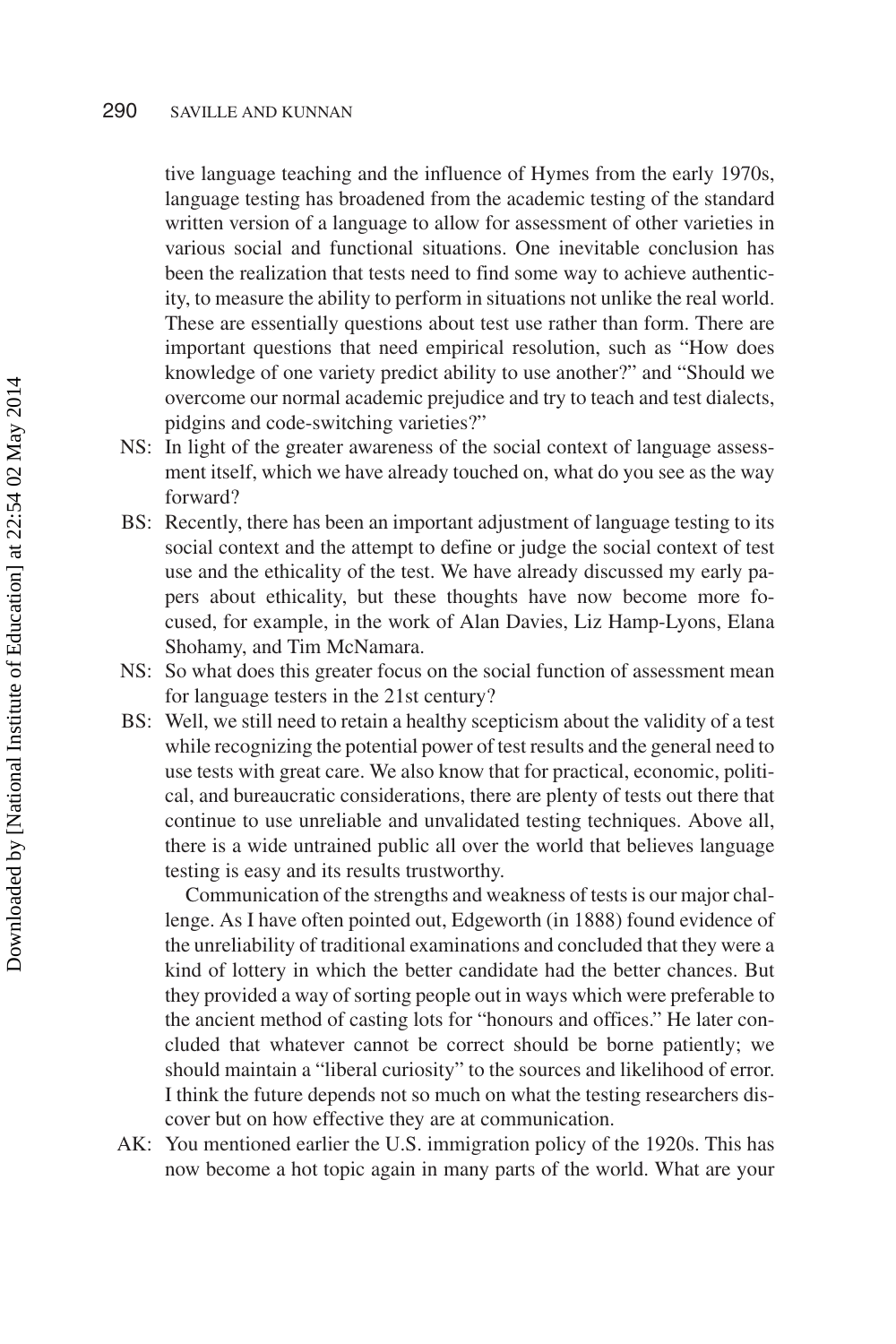tive language teaching and the influence of Hymes from the early 1970s, language testing has broadened from the academic testing of the standard written version of a language to allow for assessment of other varieties in various social and functional situations. One inevitable conclusion has been the realization that tests need to find some way to achieve authenticity, to measure the ability to perform in situations not unlike the real world. These are essentially questions about test use rather than form. There are important questions that need empirical resolution, such as "How does knowledge of one variety predict ability to use another?" and "Should we overcome our normal academic prejudice and try to teach and test dialects, pidgins and code-switching varieties?"

- NS: In light of the greater awareness of the social context of language assessment itself, which we have already touched on, what do you see as the way forward?
- BS: Recently, there has been an important adjustment of language testing to its social context and the attempt to define or judge the social context of test use and the ethicality of the test. We have already discussed my early papers about ethicality, but these thoughts have now become more focused, for example, in the work of Alan Davies, Liz Hamp-Lyons, Elana Shohamy, and Tim McNamara.
- NS: So what does this greater focus on the social function of assessment mean for language testers in the 21st century?
- BS: Well, we still need to retain a healthy scepticism about the validity of a test while recognizing the potential power of test results and the general need to use tests with great care. We also know that for practical, economic, political, and bureaucratic considerations, there are plenty of tests out there that continue to use unreliable and unvalidated testing techniques. Above all, there is a wide untrained public all over the world that believes language testing is easy and its results trustworthy.

Communication of the strengths and weakness of tests is our major challenge. As I have often pointed out, Edgeworth (in 1888) found evidence of the unreliability of traditional examinations and concluded that they were a kind of lottery in which the better candidate had the better chances. But they provided a way of sorting people out in ways which were preferable to the ancient method of casting lots for "honours and offices." He later concluded that whatever cannot be correct should be borne patiently; we should maintain a "liberal curiosity" to the sources and likelihood of error. I think the future depends not so much on what the testing researchers discover but on how effective they are at communication.

AK: You mentioned earlier the U.S. immigration policy of the 1920s. This has now become a hot topic again in many parts of the world. What are your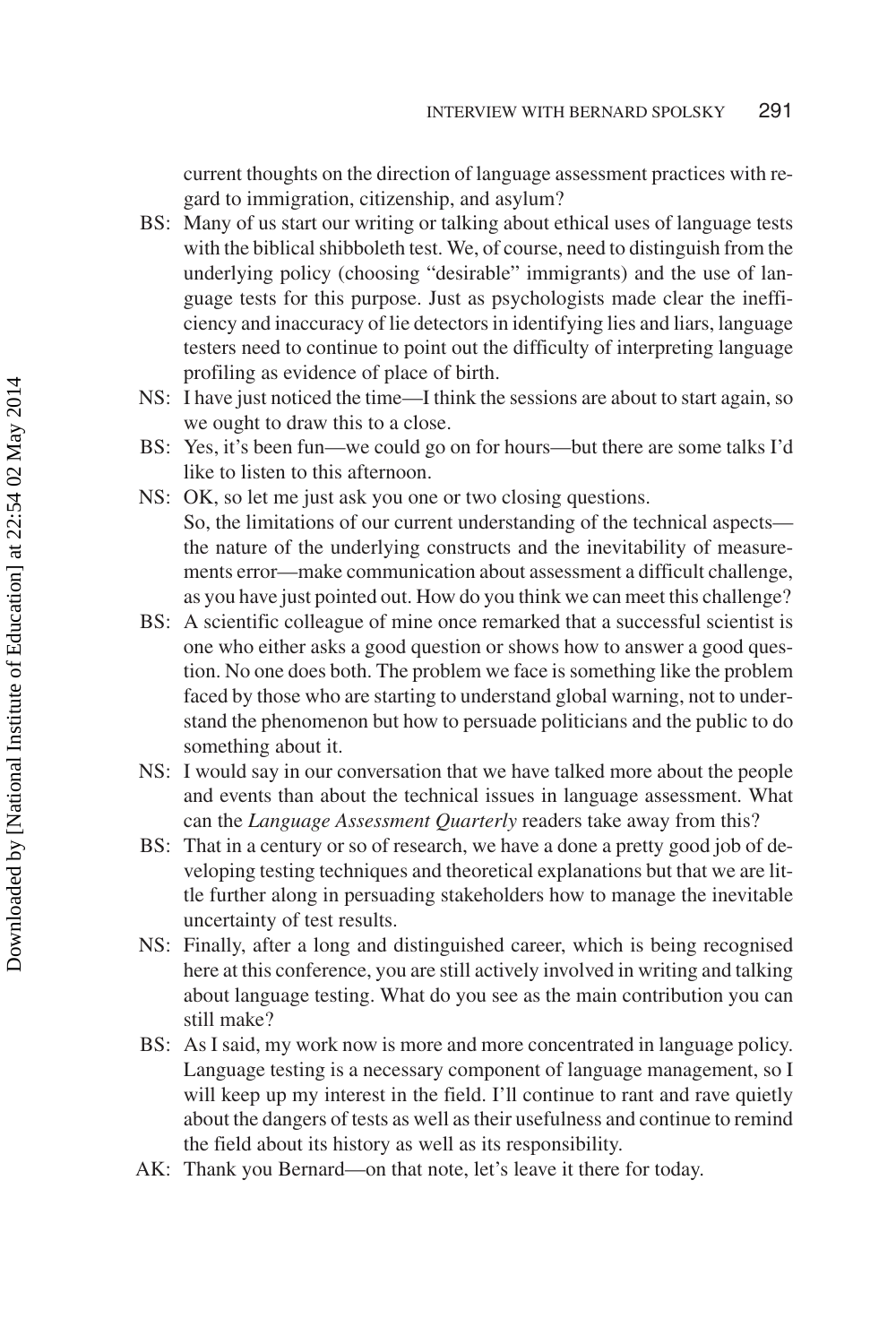current thoughts on the direction of language assessment practices with regard to immigration, citizenship, and asylum?

- BS: Many of us start our writing or talking about ethical uses of language tests with the biblical shibboleth test. We, of course, need to distinguish from the underlying policy (choosing "desirable" immigrants) and the use of language tests for this purpose. Just as psychologists made clear the inefficiency and inaccuracy of lie detectors in identifying lies and liars, language testers need to continue to point out the difficulty of interpreting language profiling as evidence of place of birth.
- NS: I have just noticed the time—I think the sessions are about to start again, so we ought to draw this to a close.
- BS: Yes, it's been fun—we could go on for hours—but there are some talks I'd like to listen to this afternoon.
- NS: OK, so let me just ask you one or two closing questions. So, the limitations of our current understanding of the technical aspects the nature of the underlying constructs and the inevitability of measurements error—make communication about assessment a difficult challenge, as you have just pointed out. How do you think we can meet this challenge?
- BS: A scientific colleague of mine once remarked that a successful scientist is one who either asks a good question or shows how to answer a good question. No one does both. The problem we face is something like the problem faced by those who are starting to understand global warning, not to understand the phenomenon but how to persuade politicians and the public to do something about it.
- NS: I would say in our conversation that we have talked more about the people and events than about the technical issues in language assessment. What can the *Language Assessment Quarterly* readers take away from this?
- BS: That in a century or so of research, we have a done a pretty good job of developing testing techniques and theoretical explanations but that we are little further along in persuading stakeholders how to manage the inevitable uncertainty of test results.
- NS: Finally, after a long and distinguished career, which is being recognised here at this conference, you are still actively involved in writing and talking about language testing. What do you see as the main contribution you can still make?
- BS: As I said, my work now is more and more concentrated in language policy. Language testing is a necessary component of language management, so I will keep up my interest in the field. I'll continue to rant and rave quietly about the dangers of tests as well as their usefulness and continue to remind the field about its history as well as its responsibility.
- AK: Thank you Bernard—on that note, let's leave it there for today.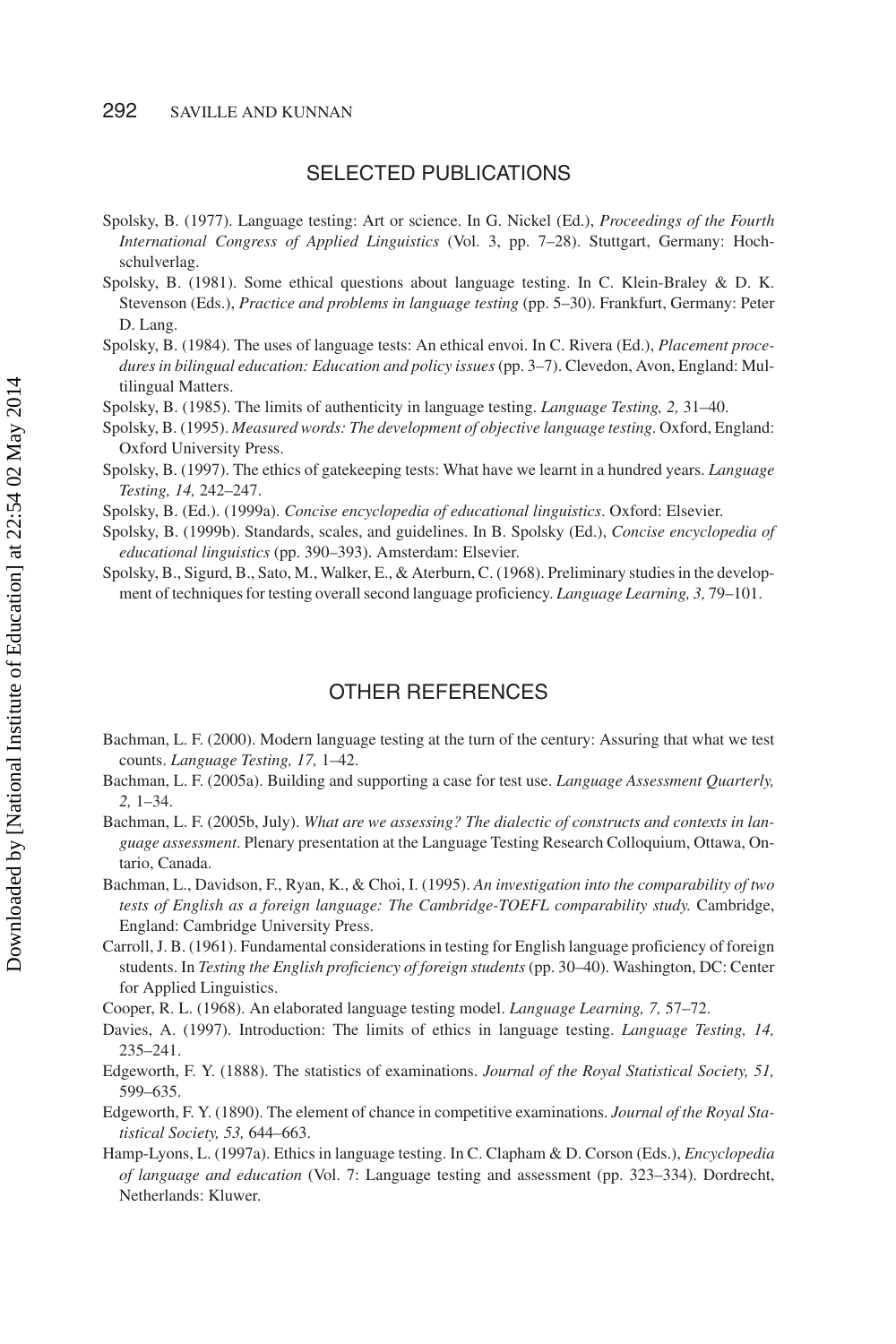#### SELECTED PUBLICATIONS

- Spolsky, B. (1977). Language testing: Art or science. In G. Nickel (Ed.), *Proceedings of the Fourth International Congress of Applied Linguistics* (Vol. 3, pp. 7–28). Stuttgart, Germany: Hochschulverlag.
- Spolsky, B. (1981). Some ethical questions about language testing. In C. Klein-Braley & D. K. Stevenson (Eds.), *Practice and problems in language testing* (pp. 5–30). Frankfurt, Germany: Peter D. Lang.
- Spolsky, B. (1984). The uses of language tests: An ethical envoi. In C. Rivera (Ed.), *Placement procedures in bilingual education: Education and policy issues*(pp. 3–7). Clevedon, Avon, England: Multilingual Matters.

Spolsky, B. (1985). The limits of authenticity in language testing. *Language Testing, 2,* 31–40.

- Spolsky, B. (1995). *Measured words: The development of objective language testing*. Oxford, England: Oxford University Press.
- Spolsky, B. (1997). The ethics of gatekeeping tests: What have we learnt in a hundred years. *Language Testing, 14,* 242–247.
- Spolsky, B. (Ed.). (1999a). *Concise encyclopedia of educational linguistics*. Oxford: Elsevier.
- Spolsky, B. (1999b). Standards, scales, and guidelines. In B. Spolsky (Ed.), *Concise encyclopedia of educational linguistics* (pp. 390–393). Amsterdam: Elsevier.
- Spolsky, B., Sigurd, B., Sato, M., Walker, E., & Aterburn, C. (1968). Preliminary studies in the development of techniques for testing overall second language proficiency. *Language Learning, 3,* 79–101.

#### OTHER REFERENCES

- Bachman, L. F. (2000). Modern language testing at the turn of the century: Assuring that what we test counts. *Language Testing, 17,* 1–42.
- Bachman, L. F. (2005a). Building and supporting a case for test use. *Language Assessment Quarterly, 2,* 1–34.
- Bachman, L. F. (2005b, July). *What are we assessing? The dialectic of constructs and contexts in language assessment*. Plenary presentation at the Language Testing Research Colloquium, Ottawa, Ontario, Canada.
- Bachman, L., Davidson, F., Ryan, K., & Choi, I. (1995). *An investigation into the comparability of two tests of English as a foreign language: The Cambridge-TOEFL comparability study.* Cambridge, England: Cambridge University Press.
- Carroll, J. B. (1961). Fundamental considerations in testing for English language proficiency of foreign students. In *Testing the English proficiency of foreign students* (pp. 30–40). Washington, DC: Center for Applied Linguistics.
- Cooper, R. L. (1968). An elaborated language testing model. *Language Learning, 7,* 57–72.
- Davies, A. (1997). Introduction: The limits of ethics in language testing. *Language Testing, 14,* 235–241.
- Edgeworth, F. Y. (1888). The statistics of examinations. *Journal of the Royal Statistical Society, 51,* 599–635.
- Edgeworth, F. Y. (1890). The element of chance in competitive examinations. *Journal of the Royal Statistical Society, 53,* 644–663.
- Hamp-Lyons, L. (1997a). Ethics in language testing. In C. Clapham & D. Corson (Eds.), *Encyclopedia of language and education* (Vol. 7: Language testing and assessment (pp. 323–334). Dordrecht, Netherlands: Kluwer.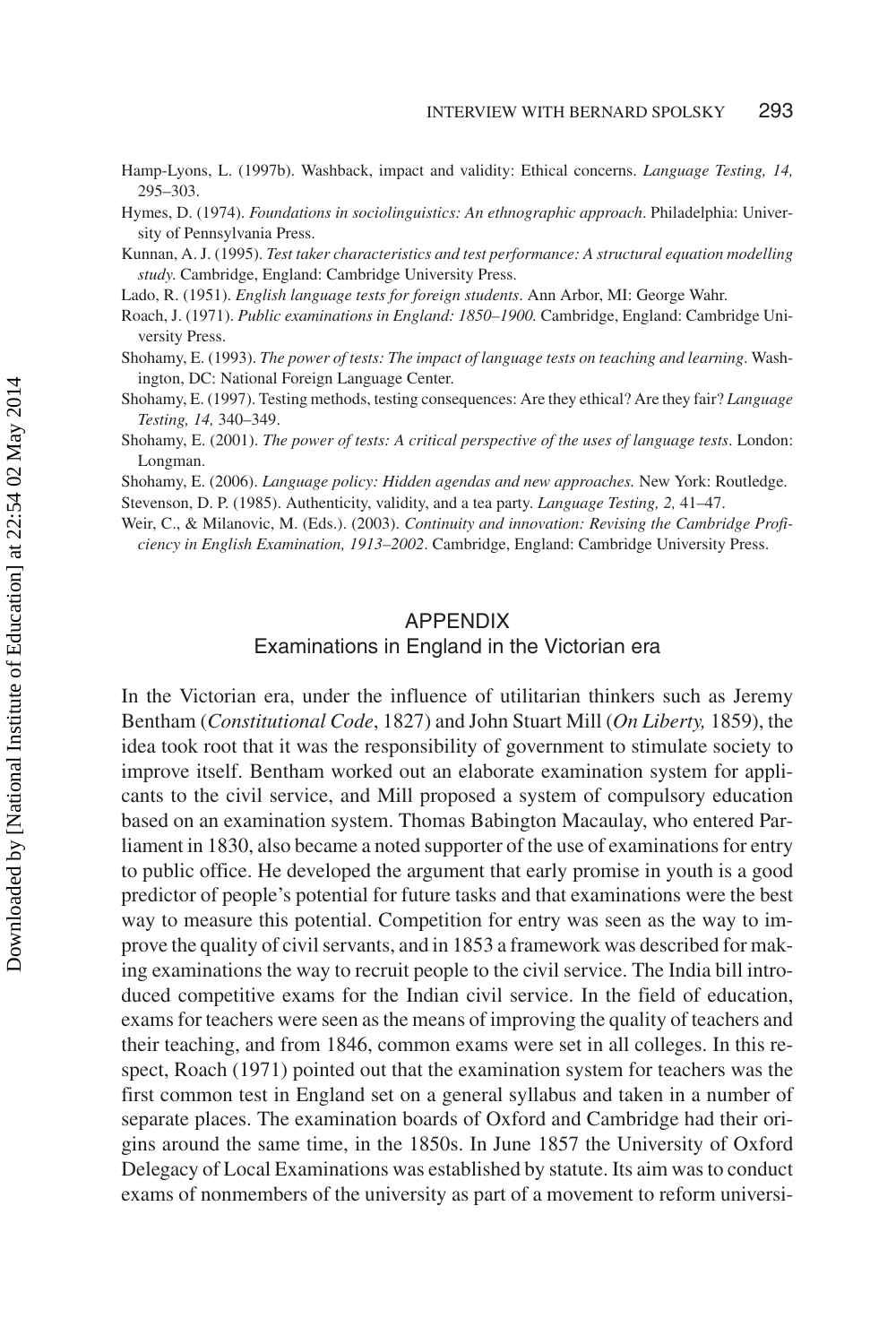- Hamp-Lyons, L. (1997b). Washback, impact and validity: Ethical concerns. *Language Testing, 14,* 295–303.
- Hymes, D. (1974). *Foundations in sociolinguistics: An ethnographic approach*. Philadelphia: University of Pennsylvania Press.
- Kunnan, A. J. (1995). *Test taker characteristics and test performance: A structural equation modelling study*. Cambridge, England: Cambridge University Press.
- Lado, R. (1951). *English language tests for foreign students*. Ann Arbor, MI: George Wahr.
- Roach, J. (1971). *Public examinations in England: 1850–1900.* Cambridge, England: Cambridge University Press.
- Shohamy, E. (1993). *The power of tests: The impact of language tests on teaching and learning*. Washington, DC: National Foreign Language Center.
- Shohamy, E. (1997). Testing methods, testing consequences: Are they ethical? Are they fair? *Language Testing, 14,* 340–349.
- Shohamy, E. (2001). *The power of tests: A critical perspective of the uses of language tests*. London: Longman.

Shohamy, E. (2006). *Language policy: Hidden agendas and new approaches.* New York: Routledge.

- Stevenson, D. P. (1985). Authenticity, validity, and a tea party. *Language Testing, 2,* 41–47.
- Weir, C., & Milanovic, M. (Eds.). (2003). *Continuity and innovation: Revising the Cambridge Proficiency in English Examination, 1913–2002*. Cambridge, England: Cambridge University Press.

#### APPENDIX Examinations in England in the Victorian era

In the Victorian era, under the influence of utilitarian thinkers such as Jeremy Bentham (*Constitutional Code*, 1827) and John Stuart Mill (*On Liberty,* 1859), the idea took root that it was the responsibility of government to stimulate society to improve itself. Bentham worked out an elaborate examination system for applicants to the civil service, and Mill proposed a system of compulsory education based on an examination system. Thomas Babington Macaulay, who entered Parliament in 1830, also became a noted supporter of the use of examinations for entry to public office. He developed the argument that early promise in youth is a good predictor of people's potential for future tasks and that examinations were the best way to measure this potential. Competition for entry was seen as the way to improve the quality of civil servants, and in 1853 a framework was described for making examinations the way to recruit people to the civil service. The India bill introduced competitive exams for the Indian civil service. In the field of education, exams for teachers were seen as the means of improving the quality of teachers and their teaching, and from 1846, common exams were set in all colleges. In this respect, Roach (1971) pointed out that the examination system for teachers was the first common test in England set on a general syllabus and taken in a number of separate places. The examination boards of Oxford and Cambridge had their origins around the same time, in the 1850s. In June 1857 the University of Oxford Delegacy of Local Examinations was established by statute. Its aim was to conduct exams of nonmembers of the university as part of a movement to reform universi-